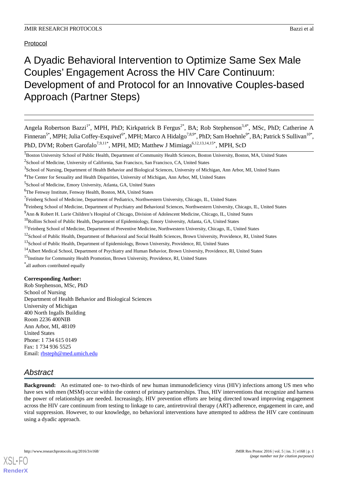Protocol

# A Dyadic Behavioral Intervention to Optimize Same Sex Male Couples' Engagement Across the HIV Care Continuum: Development of and Protocol for an Innovative Couples-based Approach (Partner Steps)

Angela Robertson Bazzi<sup>1\*</sup>, MPH, PhD; Kirkpatrick B Fergus<sup>2\*</sup>, BA; Rob Stephenson<sup>3,4\*</sup>, MSc, PhD; Catherine A Finneran<sup>5\*</sup>, MPH; Julia Coffey-Esquivel<sup>6\*</sup>, MPH; Marco A Hidalgo<sup>7,8,9\*</sup>, PhD; Sam Hoehnle<sup>9\*</sup>, BA; Patrick S Sullivan<sup>10\*</sup>, PhD, DVM; Robert Garofalo<sup>7,9,11\*</sup>, MPH, MD; Matthew J Mimiaga<sup>6,12,13,14,15\*</sup>, MPH, ScD

<sup>1</sup>Boston University School of Public Health, Department of Community Health Sciences, Boston University, Boston, MA, United States

5 School of Medicine, Emory University, Atlanta, GA, United States

<sup>6</sup>The Fenway Institute, Fenway Health, Boston, MA, United States

\* all authors contributed equally

## **Corresponding Author:**

Rob Stephenson, MSc, PhD School of Nursing Department of Health Behavior and Biological Sciences University of Michigan 400 North Ingalls Building Room 2236 400NIB Ann Arbor, MI, 48109 United States Phone: 1 734 615 0149 Fax: 1 734 936 5525 Email: [rbsteph@med.umich.edu](mailto:rbsteph@med.umich.edu)

## *Abstract*

[XSL](http://www.w3.org/Style/XSL)•FO **[RenderX](http://www.renderx.com/)**

**Background:** An estimated one- to two-thirds of new human immunodeficiency virus (HIV) infections among US men who have sex with men (MSM) occur within the context of primary partnerships. Thus, HIV interventions that recognize and harness the power of relationships are needed. Increasingly, HIV prevention efforts are being directed toward improving engagement across the HIV care continuum from testing to linkage to care, antiretroviral therapy (ART) adherence, engagement in care, and viral suppression. However, to our knowledge, no behavioral interventions have attempted to address the HIV care continuum using a dyadic approach.

<sup>&</sup>lt;sup>2</sup>School of Medicine, University of California, San Francisco, San Francisco, CA, United States

<sup>&</sup>lt;sup>3</sup>School of Nursing, Department of Health Behavior and Biological Sciences, University of Michigan, Ann Arbor, MI, United States

<sup>4</sup>The Center for Sexuality and Health Disparities, University of Michigan, Ann Arbor, MI, United States

<sup>&</sup>lt;sup>7</sup> Feinberg School of Medicine, Department of Pediatrics, Northwestern University, Chicago, IL, United States

<sup>&</sup>lt;sup>8</sup> Feinberg School of Medicine, Department of Psychiatry and Behavioral Sciences, Northwestern University, Chicago, IL, United States

<sup>9</sup>Ann & Robert H. Lurie Children's Hospital of Chicago, Division of Adolescent Medicine, Chicago, IL, United States

<sup>&</sup>lt;sup>10</sup>Rollins School of Public Health, Department of Epidemiology, Emory University, Atlanta, GA, United States

<sup>&</sup>lt;sup>11</sup>Feinberg School of Medicine, Department of Preventive Medicine, Northwestern University, Chicago, IL, United States

<sup>&</sup>lt;sup>12</sup>School of Public Health, Department of Behavioral and Social Health Sciences, Brown University, Providence, RI, United States

<sup>&</sup>lt;sup>13</sup>School of Public Health, Department of Epidemiology, Brown University, Providence, RI, United States

<sup>&</sup>lt;sup>14</sup> Albert Medical School, Department of Psychiatry and Human Behavior, Brown University, Providence, RI, United States

<sup>&</sup>lt;sup>15</sup>Institute for Community Health Promotion, Brown University, Providence, RI, United States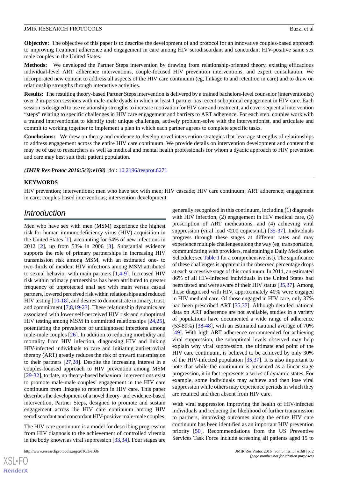**Objective:** The objective of this paper is to describe the development of and protocol for an innovative couples-based approach to improving treatment adherence and engagement in care among HIV serodiscordant and concordant HIV-positive same sex male couples in the United States.

**Methods:** We developed the Partner Steps intervention by drawing from relationship-oriented theory, existing efficacious individual-level ART adherence interventions, couple-focused HIV prevention interventions, and expert consultation. We incorporated new content to address all aspects of the HIV care continuum (eg, linkage to and retention in care) and to draw on relationship strengths through interactive activities.

**Results:** The resulting theory-based Partner Steps intervention is delivered by a trained bachelors-level counselor (interventionist) over 2 in-person sessions with male-male dyads in which at least 1 partner has recent suboptimal engagement in HIV care. Each session is designed to use relationship strengths to increase motivation for HIV care and treatment, and cover sequential intervention "steps" relating to specific challenges in HIV care engagement and barriers to ART adherence. For each step, couples work with a trained interventionist to identify their unique challenges, actively problem-solve with the interventionist, and articulate and commit to working together to implement a plan in which each partner agrees to complete specific tasks.

**Conclusions:** We drew on theory and evidence to develop novel intervention strategies that leverage strengths of relationships to address engagement across the entire HIV care continuum. We provide details on intervention development and content that may be of use to researchers as well as medical and mental health professionals for whom a dyadic approach to HIV prevention and care may best suit their patient population.

*(JMIR Res Protoc 2016;5(3):e168)* doi: [10.2196/resprot.6271](http://dx.doi.org/10.2196/resprot.6271)

#### **KEYWORDS**

HIV prevention; interventions; men who have sex with men; HIV cascade; HIV care continuum; ART adherence; engagement in care; couples-based interventions; intervention development

## *Introduction*

Men who have sex with men (MSM) experience the highest risk for human immunodeficiency virus (HIV) acquisition in the United States [[1\]](#page-10-0), accounting for 64% of new infections in 2012 [[2\]](#page-10-1), up from 53% in 2006 [[3\]](#page-10-2). Substantial evidence supports the role of primary partnerships in increasing HIV transmission risk among MSM, with an estimated one- to two-thirds of incident HIV infections among MSM attributed to sexual behavior with main partners [[1,](#page-10-0)[4](#page-10-3)[-9\]](#page-10-4). Increased HIV risk within primary partnerships has been attributed to greater frequency of unprotected anal sex with main versus casual partners, lowered perceived risk within relationships and reduced HIV testing [\[10](#page-10-5)-[18\]](#page-11-0), and desires to demonstrate intimacy, trust, and commitment [[7](#page-10-6)[,8](#page-10-7),[19](#page-11-1)[-23](#page-11-2)]. These relationship dynamics are associated with lower self-perceived HIV risk and suboptimal HIV testing among MSM in committed relationships [\[24](#page-11-3),[25\]](#page-11-4), potentiating the prevalence of undiagnosed infections among male-male couples [[26\]](#page-11-5). In addition to reducing morbidity and mortality from HIV infection, diagnosing HIV and linking HIV-infected individuals to care and initiating antiretroviral therapy (ART) greatly reduces the risk of onward transmission to their partners [\[27](#page-11-6),[28\]](#page-11-7). Despite the increasing interest in a couples-focused approach to HIV prevention among MSM [[29](#page-11-8)[-32](#page-11-9)], to date, no theory-based behavioral interventions exist to promote male-male couples' engagement in the HIV care continuum from linkage to retention in HIV care. This paper describes the development of a novel theory- and evidence-based intervention, Partner Steps, designed to promote and sustain engagement across the HIV care continuum among HIV serodiscordant and concordant HIV-positive male-male couples.

The HIV care continuum is a model for describing progression from HIV diagnosis to the achievement of controlled viremia in the body known as viral suppression [[33,](#page-11-10)[34](#page-11-11)]. Four stages are

 $XS$ -FO **[RenderX](http://www.renderx.com/)** generally recognized in this continuum, including (1) diagnosis with HIV infection, (2) engagement in HIV medical care, (3) prescription of ART medications, and (4) achieving viral suppression (viral load <200 copies/mL) [[35-](#page-11-12)[37\]](#page-12-0). Individuals progress through these stages at different rates and may experience multiple challenges along the way (eg, transportation, communicating with providers, maintaining a Daily Medication Schedule; see [Table 1](#page-6-0) for a comprehensive list). The significance of these challenges is apparent in the observed percentage drops at each successive stage of this continuum. In 2011, an estimated 86% of all HIV-infected individuals in the United States had been tested and were aware of their HIV status [\[35](#page-11-12),[37\]](#page-12-0). Among those diagnosed with HIV, approximately 40% were engaged in HIV medical care. Of those engaged in HIV care, only 37% had been prescribed ART [[35,](#page-11-12)[37](#page-12-0)]. Although detailed national data on ART adherence are not available, studies in a variety of populations have documented a wide range of adherence (53-89%) [\[38](#page-12-1)-[48\]](#page-12-2), with an estimated national average of 70% [[49\]](#page-12-3). With high ART adherence recommended for achieving viral suppression, the suboptimal levels observed may help explain why viral suppression, the ultimate end point of the HIV care continuum, is believed to be achieved by only 30% of the HIV-infected population [\[35](#page-11-12),[37\]](#page-12-0). It is also important to note that while the continuum is presented as a linear stage progression, it in fact represents a series of dynamic states. For example, some individuals may achieve and then lose viral suppression while others may experience periods in which they are retained and then absent from HIV care.

With viral suppression improving the health of HIV-infected individuals and reducing the likelihood of further transmission to partners, improving outcomes along the entire HIV care continuum has been identified as an important HIV prevention priority [[50\]](#page-12-4). Recommendations from the US Preventive Services Task Force include screening all patients aged 15 to

http://www.researchprotocols.org/2016/3/e168/ JMIR Res Protoc 2016 | vol. 5 | iss. 3 | e168 | p. 2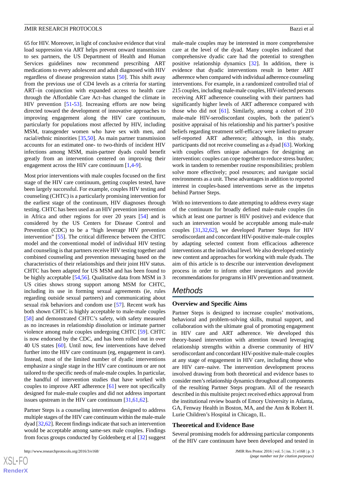65 for HIV. Moreover, in light of conclusive evidence that viral load suppression via ART helps prevent onward transmission to sex partners, the US Department of Health and Human Services guidelines now recommend prescribing ART medications to every adolescent and adult diagnosed with HIV regardless of disease progression status [\[50](#page-12-4)]. This shift away from the previous use of CD4 levels as a criteria for starting ART–in conjunction with expanded access to health care through the Affordable Care Act–has changed the climate in HIV prevention [[51-](#page-12-5)[53](#page-12-6)]. Increasing efforts are now being directed toward the development of innovative approaches to improving engagement along the HIV care continuum, particularly for populations most affected by HIV, including MSM, transgender women who have sex with men, and racial/ethnic minorities [[35,](#page-11-12)[50](#page-12-4)]. As main partner transmission accounts for an estimated one- to two-thirds of incident HIV infections among MSM, main-partner dyads could benefit greatly from an intervention centered on improving their engagement across the HIV care continuum [[1](#page-10-0)[,4](#page-10-3)[-9](#page-10-4)].

Most prior interventions with male couples focused on the first stage of the HIV care continuum, getting couples tested, have been largely successful. For example, couples HIV testing and counseling (CHTC) is a particularly promising intervention for the earliest stage of the continuum, HIV diagnoses through testing. CHTC has been used as an HIV prevention intervention in Africa and other regions for over 20 years [[54\]](#page-12-7) and is considered by the US Centers for Disease Control and Prevention (CDC) to be a "high leverage HIV prevention intervention" [[55\]](#page-12-8). The critical difference between the CHTC model and the conventional model of individual HIV testing and counseling is that partners receive HIV testing together and combined counseling and prevention messaging based on the characteristics of their relationships and their joint HIV status. CHTC has been adapted for US MSM and has been found to be highly acceptable [\[54](#page-12-7),[56\]](#page-12-9). Qualitative data from MSM in 3 US cities shows strong support among MSM for CHTC, including its use in forming sexual agreements (ie, rules regarding outside sexual partners) and communicating about sexual risk behaviors and condom use [\[57](#page-12-10)]. Recent work has both shown CHTC is highly acceptable to male-male couples [[58\]](#page-13-0) and demonstrated CHTC's safety, with safety measured as no increases in relationship dissolution or intimate partner violence among male couples undergoing CHTC [\[59](#page-13-1)]. CHTC is now endorsed by the CDC, and has been rolled out in over 40 US states [\[60](#page-13-2)]. Until now, few interventions have delved further into the HIV care continuum (eg, engagement in care). Instead, most of the limited number of dyadic interventions emphasize a single stage in the HIV care continuum or are not tailored to the specific needs of male-male couples. In particular, the handful of intervention studies that have worked with couples to improve ART adherence [[61\]](#page-13-3) were not specifically designed for male-male couples and did not address important issues upstream in the HIV care continuum [\[31](#page-11-13),[61,](#page-13-3)[62](#page-13-4)].

Partner Steps is a counseling intervention designed to address multiple stages of the HIV care continuum within the male-male dyad [\[32](#page-11-9),[62\]](#page-13-4). Recent findings indicate that such an intervention would be acceptable among same-sex male couples. Findings from focus groups conducted by Goldenberg et al [[32\]](#page-11-9) suggest

 $XS$ -FO **[RenderX](http://www.renderx.com/)** male-male couples may be interested in more comprehensive care at the level of the dyad. Many couples indicated that comprehensive dyadic care had the potential to strengthen positive relationship dynamics [\[32](#page-11-9)]. In addition, there is evidence that dyadic interventions result in better ART adherence when compared with individual adherence counseling interventions. For example, in a randomized controlled trial of 215 couples, including male-male couples, HIV-infected persons receiving ART adherence counseling with their partners had significantly higher levels of ART adherence compared with those who did not [\[61](#page-13-3)]. Similarly, among a cohort of 210 male-male HIV-serodiscordant couples, both the patient's positive appraisal of his relationship and his partner's positive beliefs regarding treatment self-efficacy were linked to greater self-reported ART adherence; although, in this study, participants did not receive counseling as a dyad [\[63](#page-13-5)]. Working with couples offers unique advantages for designing an intervention: couples can cope together to reduce stress burden; work in tandem to remember routine responsibilities; problem solve more effectively; pool resources; and navigate social environments as a unit. These advantages in addition to reported interest in couples-based interventions serve as the impetus behind Partner Steps.

With no interventions to date attempting to address every stage of the continuum for broadly defined male-male couples (in which at least one partner is HIV positive) and evidence that such an intervention would be acceptable among male-male couples [[31,](#page-11-13)[32](#page-11-9)[,62](#page-13-4)], we developed Partner Steps for HIV serodiscordant and concordant HIV-positive male-male couples by adapting selected content from efficacious adherence interventions at the individual level. We also developed entirely new content and approaches for working with male dyads. The aim of this article is to describe our intervention development process in order to inform other investigators and provide recommendations for programs in HIV prevention and treatment.

## *Methods*

#### **Overview and Specific Aims**

Partner Steps is designed to increase couples' motivations, behavioral and problem-solving skills, mutual support, and collaboration with the ultimate goal of promoting engagement in HIV care and ART adherence. We developed this theory-based intervention with attention toward leveraging relationship strengths within a diverse community of HIV serodiscordant and concordant HIV-positive male-male couples at any stage of engagement in HIV care, including those who are HIV care–naive. The intervention development process involved drawing from both theoretical and evidence bases to consider men's relationship dynamics throughout all components of the resulting Partner Steps program. All of the research described in this multisite project received ethics approval from the institutional review boards of Emory University in Atlanta, GA, Fenway Health in Boston, MA, and the Ann & Robert H. Lurie Children's Hospital in Chicago, IL.

#### **Theoretical and Evidence Base**

Several promising models for addressing particular components of the HIV care continuum have been developed and tested in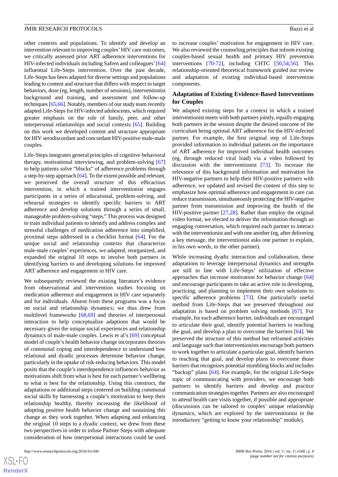other contexts and populations. To identify and develop an intervention relevant to improving couples' HIV care outcomes, we critically assessed prior ART adherence interventions for HIV-infected individuals including Safren and colleagues' [\[64](#page-13-6)] influential Life-Steps intervention. Over the past decade, Life-Steps has been adapted for diverse settings and populations leading to content and structure that differs with respect to target behaviors, dose (eg, length, number of sessions), interventionist background and training, and assessment and follow-up techniques [\[65](#page-13-7)[,66](#page-13-8)]. Notably, members of our study team recently adapted Life-Steps for HIV-infected adolescents, which required greater emphasis on the role of family, peer, and other interpersonal relationships and social contexts [\[65](#page-13-7)]. Building on this work we developed content and structure appropriate for HIV serodiscordant and concordant HIV-positive male-male couples.

Life-Steps integrates general principles of cognitive behavioral therapy, motivational interviewing, and problem-solving [\[67](#page-13-9)] to help patients solve "blocks" of adherence problems through a step-by-step approach [\[64](#page-13-6)]. To the extent possible and relevant, we preserved the overall structure of this efficacious intervention, in which a trained interventionist engages participants in a series of educational, problem-solving, and rehearsal strategies to identify specific barriers to ART adherence and develop solutions through a series of small, manageable problem-solving "steps." This process was designed to train individual patients to identify and address complex and stressful challenges of medication adherence into simplified, proximal steps addressed in a checklist format [\[64](#page-13-6)]. For the unique social and relationship contexts that characterize male-male couples' experiences, we adapted, reorganized, and expanded the original 10 steps to involve both partners in identifying barriers to and developing solutions for improved ART adherence and engagement in HIV care.

We subsequently reviewed the existing literature's evidence from observational and intervention studies focusing on medication adherence and engagement in HIV care separately and for individuals. Absent from these programs was a focus on social and relationship dynamics; we thus drew from multilevel frameworks [\[68](#page-13-10)[,69](#page-13-11)] and theories of interpersonal interaction to help conceptualize adaptions that would be necessary given the unique social experiences and relationship dynamics of male-male couples. Lewis et al's [\[69](#page-13-11)] conceptual model of couple's health behavior change incorporates theories of communal coping and interdependence to understand how relational and dyadic processes determine behavior change, particularly in the uptake of risk-reducing behaviors. This model posits that the couple's interdependence influences behavior as motivations shift from what is best for each partner's wellbeing to what is best for the relationship. Using this construct, the adaptations or additional steps centered on building communal social skills by harnessing a couple's motivation to keep their relationship healthy, thereby increasing the likelihood of adopting positive health behavior change and sustaining this change as they work together. When adapting and enhancing the original 10 steps to a dyadic context, we drew from these two perspectives in order to infuse Partner Steps with adequate consideration of how interpersonal interactions could be used

to increase couples' motivation for engagement in HIV care. We also reviewed the counseling principles that inform existing couples-based sexual health and primary HIV prevention interventions [[70-](#page-13-12)[72](#page-13-13)], including CHTC [\[50](#page-12-4)[,54](#page-12-7),[56\]](#page-12-9). This relationship-oriented theoretical framework guided our review and adaptation of existing individual-based intervention components.

#### **Adaptation of Existing Evidence-Based Interventions for Couples**

We adapted existing steps for a context in which a trained interventionist meets with both partners jointly, equally engaging both partners in the session despite the desired outcome of the curriculum being optimal ART adherence for the HIV-infected partner. For example, the first original step of Life-Steps provided information to individual patients on the importance of ART adherence for improved individual health outcomes (eg, through reduced viral load) via a video followed by discussion with the interventionist [\[73](#page-13-14)]. To increase the relevance of this background information and motivation for HIV-negative partners to help their HIV-positive partners with adherence, we updated and revised the content of this step to emphasize how optimal adherence and engagement in care can reduce transmission, simultaneously protecting the HIV-negative partner from transmission and improving the health of the HIV-positive partner [[27,](#page-11-6)[28](#page-11-7)]. Rather than employ the original video format, we elected to deliver the information through an engaging conversation, which required each partner to interact with the interventionist and with one another (eg, after delivering a key message, the interventionist asks one partner to explain, in his own words, to the other partner).

While increasing dyadic interaction and collaboration, these adaptations to leverage interpersonal dynamics and strengths are still in line with Life-Steps' utilization of effective approaches that increase motivation for behavior change [\[64](#page-13-6)] and encourage participants to take an active role in developing, practicing, and planning to implement their own solutions to specific adherence problems [[73\]](#page-13-14). One particularly useful method from Life-Steps that we preserved throughout our adaptation is based on problem solving methods [\[67](#page-13-9)]. For example, for each adherence barrier, individuals are encouraged to articulate their goal, identify potential barriers to reaching the goal, and develop a plan to overcome the barriers [\[64](#page-13-6)]. We preserved the structure of this method but reframed activities and language such that interventionists encourage both partners to work together to articulate a particular goal, identify barriers to reaching that goal, and develop plans to overcome those barriers that recognizes potential stumbling blocks and includes "backup" plans [[64\]](#page-13-6). For example, for the original Life-Steps topic of communicating with providers, we encourage both partners to identify barriers and develop and practice communication strategies together. Partners are also encouraged to attend health care visits together, if possible and appropriate (discussions can be tailored to couples' unique relationship dynamics, which are explored by the interventionist in the introductory "getting to know your relationship" module).

 $XS$ -FO **[RenderX](http://www.renderx.com/)**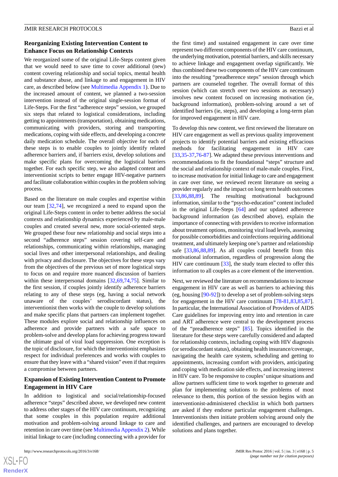#### **Reorganizing Existing Intervention Content to Enhance Focus on Relationship Contexts**

We reorganized some of the original Life-Steps content given that we would need to save time to cover additional (new) content covering relationship and social topics, mental health and substance abuse, and linkage to and engagement in HIV care, as described below (see [Multimedia Appendix 1\)](#page-10-8). Due to the increased amount of content, we planned a two-session intervention instead of the original single-session format of Life-Steps. For the first "adherence steps" session, we grouped six steps that related to logistical considerations, including getting to appointments (transportation), obtaining medications, communicating with providers, storing and transporting medications, coping with side effects, and developing a concrete daily medication schedule. The overall objective for each of these steps is to enable couples to jointly identify related adherence barriers and, if barriers exist, develop solutions and make specific plans for overcoming the logistical barriers together. For each specific step, we also adapted content and interventionist scripts to better engage HIV-negative partners and facilitate collaboration within couples in the problem solving process.

Based on the literature on male couples and expertise within our team [\[32](#page-11-9)[,74](#page-13-15)], we recognized a need to expand upon the original Life-Steps content in order to better address the social contexts and relationship dynamics experienced by male-male couples and created several new, more social-oriented steps. We grouped these four new relationship and social steps into a second "adherence steps" session covering self-care and relationships, communicating within relationships, managing social lives and other interpersonal relationships, and dealing with privacy and disclosure. The objectives for these steps vary from the objectives of the previous set of more logistical steps to focus on and require more nuanced discussion of barriers within these interpersonal domains [\[32](#page-11-9),[69](#page-13-11)[,74](#page-13-15),[75\]](#page-13-16). Similar to the first session, if couples jointly identify adherence barriers relating to any of these steps (eg, having a social network unaware of the couples' serodiscordant status), the interventionist then works with the couple to develop solutions and make specific plans that partners can implement together. These modules explore social and relationship influences on adherence and provide partners with a safe space to problem-solve and develop plans for achieving progress toward the ultimate goal of viral load suppression. One exception is the topic of disclosure, for which the interventionist emphasizes respect for individual preferences and works with couples to ensure that they leave with a "shared vision" even if that requires a compromise between partners.

#### **Expansion of Existing Intervention Content to Promote Engagement in HIV Care**

In addition to logistical and social/relationship-focused adherence "steps" described above, we developed new content to address other stages of the HIV care continuum, recognizing that some couples in this population require additional motivation and problem-solving around linkage to care and retention in care over time (see [Multimedia Appendix 2\)](#page-10-9). While initial linkage to care (including connecting with a provider for

```
http://www.researchprotocols.org/2016/3/e168/ JMIR Res Protoc 2016 | vol. 5 | iss. 3 | e168 | p. 5
```
the first time) and sustained engagement in care over time represent two different components of the HIV care continuum, the underlying motivation, potential barriers, and skills necessary to achieve linkage and engagement overlap significantly. We thus combined these two components of the HIV care continuum into the resulting "preadherence steps" session through which partners are counseled together. The overall format of this session (which can stretch over two sessions as necessary) involves new content focused on increasing motivation (ie, background information), problem-solving around a set of identified barriers (ie, steps), and developing a long-term plan for improved engagement in HIV care.

To develop this new content, we first reviewed the literature on HIV care engagement as well as previous quality improvement projects to identify potential barriers and existing efficacious methods for facilitating engagement in HIV care [[33,](#page-11-10)[35-](#page-11-12)[37](#page-12-0)[,76](#page-13-17)-[87\]](#page-14-0). We adapted these previous interventions and recommendations to fit the foundational "steps" structure and the social and relationship context of male-male couples. First, to increase motivation for initial linkage to care and engagement in care over time, we reviewed recent literature on seeing a provider regularly and the impact on long term health outcomes [[33,](#page-11-10)[86,](#page-14-1)[88](#page-14-2)[,89](#page-14-3)]. The resulting motivational background information, similar to the "psycho-education" content included in the original Life-Steps [[64\]](#page-13-6) and our updated adherence background information (as described above), explain the importance of connecting with providers to receive information about treatment options, monitoring viral load levels, assessing for possible comorbidities and coinfections requiring additional treatment, and ultimately keeping one's partner and relationship safe [\[33](#page-11-10),[86,](#page-14-1)[88](#page-14-2),[89\]](#page-14-3). As all couples could benefit from this motivational information, regardless of progression along the HIV care continuum  $[33]$  $[33]$ , the study team elected to offer this information to all couples as a core element of the intervention.

Next, we reviewed the literature on recommendations to increase engagement in HIV care as well as barriers to achieving this (eg, housing [\[90](#page-14-4)-[92\]](#page-14-5)) to develop a set of problem-solving steps for engagement in the HIV care continuum [\[78](#page-13-18)[-81](#page-14-6),[83](#page-14-7)[,85](#page-14-8),[87\]](#page-14-0). In particular, the International Association of Providers of AIDS Care guidelines for improving entry into and retention in care and ART adherence were central to the development process of the "preadherence steps" [\[85](#page-14-8)]. Topics identified in the literature for these steps were carefully considered and adapted for relationship contexts, including coping with HIV diagnosis (or serodiscordant status), obtaining health insurance/coverage, navigating the health care system, scheduling and getting to appointments, increasing comfort with providers, anticipating and coping with medication side effects, and increasing interest in HIV care. To be responsive to couples' unique situations and allow partners sufficient time to work together to generate and plan for implementing solutions to the problems of most relevance to them, this portion of the session begins with an interventionist-administered checklist in which both partners are asked if they endorse particular engagement challenges. Interventionists then initiate problem solving around only the identified challenges, and partners are encouraged to develop solutions and plans together.

 $XSI - F($ **[RenderX](http://www.renderx.com/)**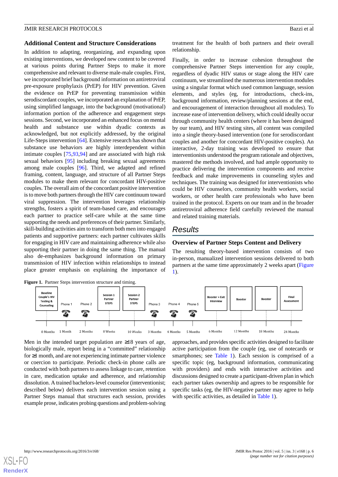#### **Additional Content and Structure Considerations**

In addition to adapting, reorganizing, and expanding upon existing interventions, we developed new content to be covered at various points during Partner Steps to make it more comprehensive and relevant to diverse male-male couples. First, we incorporated brief background information on antiretroviral pre-exposure prophylaxis (PrEP) for HIV prevention. Given the evidence on PrEP for preventing transmission within serodiscordant couples, we incorporated an explanation of PrEP, using simplified language, into the background (motivational) information portion of the adherence and engagement steps sessions. Second, we incorporated an enhanced focus on mental health and substance use within dyadic contexts as acknowledged, but not explicitly addressed, by the original Life-Steps intervention [[64\]](#page-13-6). Extensive research has shown that substance use behaviors are highly interdependent within intimate couples [[75,](#page-13-16)[93](#page-14-9),[94\]](#page-14-10) and are associated with high risk sexual behaviors [\[95](#page-14-11)] including breaking sexual agreements among male couples [\[96](#page-14-12)]. Third, we adapted and refined framing, content, language, and structure of all Partner Steps modules to make them relevant for concordant HIV-positive couples. The overall aim of the concordant positive intervention is to move both partners through the HIV care continuum toward viral suppression. The intervention leverages relationship strengths, fosters a spirit of team-based care, and encourages each partner to practice self-care while at the same time supporting the needs and preferences of their partner. Similarly, skill-building activities aim to transform both men into engaged patients and supportive partners: each partner cultivates skills for engaging in HIV care and maintaining adherence while also supporting their partner in doing the same thing. The manual also de-emphasizes background information on primary transmission of HIV infection within relationships to instead place greater emphasis on explaining the importance of treatment for the health of both partners and their overall relationship.

Finally, in order to increase cohesion throughout the comprehensive Partner Steps intervention for any couple, regardless of dyadic HIV status or stage along the HIV care continuum, we streamlined the numerous intervention modules using a singular format which used common language, session elements, and styles (eg, for introductions, check-ins, background information, review/planning sessions at the end, and encouragement of interaction throughout all modules). To increase ease of intervention delivery, which could ideally occur through community health centers (where it has been designed by our team), and HIV testing sites, all content was compiled into a single theory-based intervention (one for serodiscordant couples and another for concordant HIV-positive couples). An interactive, 2-day training was developed to ensure that interventionists understood the program rationale and objectives, mastered the methods involved, and had ample opportunity to practice delivering the intervention components and receive feedback and make improvements in counseling styles and techniques. The training was designed for interventionists who could be HIV counselors, community health workers, social workers, or other health care professionals who have been trained in the protocol. Experts on our team and in the broader antiretroviral adherence field carefully reviewed the manual and related training materials.

## *Results*

#### **Overview of Partner Steps Content and Delivery**

The resulting theory-based intervention consists of two in-person, manualized intervention sessions delivered to both partners at the same time approximately 2 weeks apart ([Figure](#page-5-0) [1\)](#page-5-0).

<span id="page-5-0"></span>

Men in the intended target population are  $\geq 18$  years of age, biologically male, report being in a "committed" relationship for ≥1 month, and are not experiencing intimate partner violence or coercion to participate. Periodic check-in phone calls are conducted with both partners to assess linkage to care, retention in care, medication uptake and adherence, and relationship dissolution. A trained bachelors-level counselor (interventionist; described below) delivers each intervention session using a Partner Steps manual that structures each session, provides example prose, indicates probing questions and problem-solving

approaches, and provides specific activities designed to facilitate active participation from the couple (eg, use of notecards or smartphones; see [Table 1](#page-6-0)). Each session is comprised of a specific topic (eg, background information, communicating with providers) and ends with interactive activities and discussions designed to create a participant-driven plan in which each partner takes ownership and agrees to be responsible for specific tasks (eg, the HIV-negative partner may agree to help with specific activities, as detailed in [Table 1\)](#page-6-0).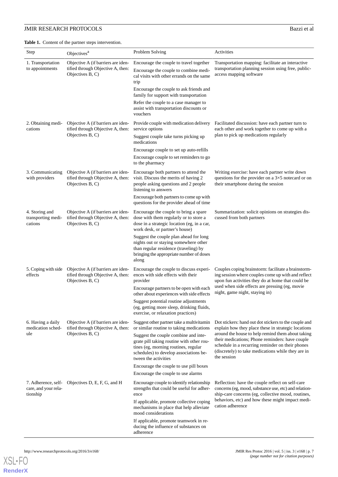<span id="page-6-0"></span>**Table 1.** Content of the partner steps intervention.

| Step                                                    | <b>COMEDY</b> of the partner steps meet vehicles.<br>Objectives <sup>a</sup>                | Problem Solving                                                                                                                                                                             | Activities                                                                                                                                                                                                                    |  |  |  |
|---------------------------------------------------------|---------------------------------------------------------------------------------------------|---------------------------------------------------------------------------------------------------------------------------------------------------------------------------------------------|-------------------------------------------------------------------------------------------------------------------------------------------------------------------------------------------------------------------------------|--|--|--|
| 1. Transportation<br>to appointments                    | Objective A (if barriers are iden-<br>tified through Objective A, then:<br>Objectives B, C) | Encourage the couple to travel together<br>Encourage the couple to combine medi-<br>cal visits with other errands on the same<br>trip                                                       | Transportation mapping: facilitate an interactive<br>transportation planning session using free, public-<br>access mapping software                                                                                           |  |  |  |
|                                                         |                                                                                             | Encourage the couple to ask friends and<br>family for support with transportation                                                                                                           |                                                                                                                                                                                                                               |  |  |  |
|                                                         |                                                                                             | Refer the couple to a case manager to<br>assist with transportation discounts or<br>vouchers                                                                                                |                                                                                                                                                                                                                               |  |  |  |
| 2. Obtaining medi-<br>cations                           | Objective A (if barriers are iden-<br>tified through Objective A, then:<br>Objectives B, C) | Provide couple with medication delivery<br>service options                                                                                                                                  | Facilitated discussion: have each partner turn to<br>each other and work together to come up with a                                                                                                                           |  |  |  |
|                                                         |                                                                                             | Suggest couple take turns picking up<br>medications                                                                                                                                         | plan to pick up medications regularly                                                                                                                                                                                         |  |  |  |
|                                                         |                                                                                             | Encourage couple to set up auto-refills                                                                                                                                                     |                                                                                                                                                                                                                               |  |  |  |
|                                                         |                                                                                             | Encourage couple to set reminders to go<br>to the pharmacy                                                                                                                                  |                                                                                                                                                                                                                               |  |  |  |
| 3. Communicating<br>with providers                      | Objective A (if barriers are iden-<br>tified through Objective A, then:<br>Objectives B, C) | Encourage both partners to attend the<br>visit. Discuss the merits of having 2<br>people asking questions and 2 people<br>listening to answers                                              | Writing exercise: have each partner write down<br>questions for the provider on a $3\times 5$ notecard or on<br>their smartphone during the session                                                                           |  |  |  |
|                                                         |                                                                                             | Encourage both partners to come up with<br>questions for the provider ahead of time                                                                                                         |                                                                                                                                                                                                                               |  |  |  |
| 4. Storing and<br>transporting medi-<br>cations         | Objective A (if barriers are iden-<br>tified through Objective A, then:<br>Objectives B, C) | Encourage the couple to bring a spare<br>dose with them regularly or to store a<br>dose in a strategic location (eg, in a car,<br>work desk, or partner's house)                            | Summarization: solicit opinions on strategies dis-<br>cussed from both partners                                                                                                                                               |  |  |  |
|                                                         |                                                                                             | Suggest the couple plan ahead for long<br>nights out or staying somewhere other<br>than regular residence (traveling) by<br>bringing the appropriate number of doses<br>along               |                                                                                                                                                                                                                               |  |  |  |
| 5. Coping with side<br>effects                          | Objective A (if barriers are iden-<br>tified through Objective A, then:<br>Objectives B, C) | Encourage the couple to discuss experi-<br>ences with side effects with their<br>provider<br>Encourage partners to be open with each                                                        | Couples coping brainstorm: facilitate a brainstorm-<br>ing session where couples come up with and reflect<br>upon fun activities they do at home that could be<br>used when side effects are pressing (eg, movie              |  |  |  |
|                                                         |                                                                                             | other about experiences with side effects                                                                                                                                                   | night, game night, staying in)                                                                                                                                                                                                |  |  |  |
|                                                         |                                                                                             | Suggest potential routine adjustments<br>(eg, getting more sleep, drinking fluids,<br>exercise, or relaxation practices)                                                                    |                                                                                                                                                                                                                               |  |  |  |
| 6. Having a daily<br>medication sched-<br>ule           | Objective A (if barriers are iden-<br>tified through Objective A, then:<br>Objectives B, C) | Suggest other partner take a multivitamin<br>or similar routine to taking medications                                                                                                       | Dot stickers: hand out dot stickers to the couple and<br>explain how they place these in strategic locations                                                                                                                  |  |  |  |
|                                                         |                                                                                             | Suggest the couple combine and inte-<br>grate pill taking routine with other rou-<br>tines (eg, morning routines, regular<br>schedules) to develop associations be-<br>tween the activities | around the house to help remind them about taking<br>their medications; Phone reminders: have couple<br>schedule in a recurring reminder on their phones<br>(discretely) to take medications while they are in<br>the session |  |  |  |
|                                                         |                                                                                             | Encourage the couple to use pill boxes<br>Encourage the couple to use alarms                                                                                                                |                                                                                                                                                                                                                               |  |  |  |
| 7. Adherence, self-<br>care, and your rela-<br>tionship | Objectives D, E, F, G, and H                                                                | Encourage couple to identify relationship<br>strengths that could be useful for adher-<br>ence                                                                                              | Reflection: have the couple reflect on self-care<br>concerns (eg, mood, substance use, etc) and relation-<br>ship-care concerns (eg, collective mood, routines,                                                               |  |  |  |
|                                                         |                                                                                             | If applicable, promote collective coping<br>mechanisms in place that help alleviate<br>mood considerations                                                                                  | behaviors, etc) and how these might impact medi-<br>cation adherence                                                                                                                                                          |  |  |  |
|                                                         |                                                                                             | If applicable, promote teamwork in re-<br>ducing the influence of substances on<br>adherence                                                                                                |                                                                                                                                                                                                                               |  |  |  |

**[RenderX](http://www.renderx.com/)**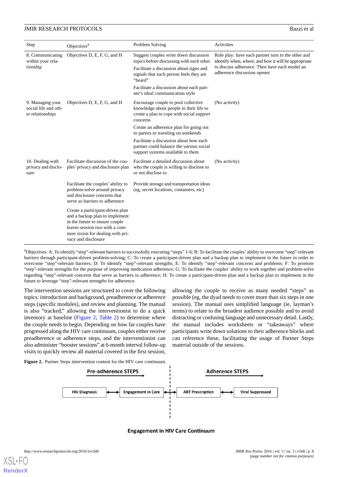| Step                                                         | Objectives <sup>a</sup>                                                                                                                                                                           | Problem Solving                                                                                                                         | Activities                                                                                                 |  |  |
|--------------------------------------------------------------|---------------------------------------------------------------------------------------------------------------------------------------------------------------------------------------------------|-----------------------------------------------------------------------------------------------------------------------------------------|------------------------------------------------------------------------------------------------------------|--|--|
| 8. Communicating<br>within your rela-<br>tionship            | Objectives D, E, F, G, and H                                                                                                                                                                      | Suggest couples write down discussion<br>topics before discussing with each other                                                       | Role play: have each partner turn to the other and<br>identify when, where, and how it will be appropriate |  |  |
|                                                              |                                                                                                                                                                                                   | Facilitate a discussion about signs and<br>signals that each person feels they are<br>"heard"                                           | to discuss adherence. Then have each model an<br>adherence discussion opener.                              |  |  |
|                                                              |                                                                                                                                                                                                   | Facilitate a discussion about each part-<br>ner's ideal communication style                                                             |                                                                                                            |  |  |
| 9. Managing your<br>social life and oth-<br>er relationships | Objectives D, E, F, G, and H                                                                                                                                                                      | Encourage couple to pool collective<br>knowledge about people in their life to<br>create a plan to cope with social support<br>concerns | (No activity)                                                                                              |  |  |
|                                                              |                                                                                                                                                                                                   | Create an adherence plan for going out<br>to parties or traveling on weekends                                                           |                                                                                                            |  |  |
|                                                              |                                                                                                                                                                                                   | Facilitate a discussion about how each<br>partner could balance the various social<br>support systems available to them                 |                                                                                                            |  |  |
| 10. Dealing with<br>privacy and disclo-<br>sure              | Facilitate discussion of the cou-<br>ples' privacy and disclosure plan                                                                                                                            | Facilitate a detailed discussion about<br>who the couple is willing to disclose to<br>or not disclose to                                | (No activity)                                                                                              |  |  |
|                                                              | Facilitate the couples' ability to<br>problem-solve around privacy<br>and disclosure concerns that<br>serve as barriers to adherence                                                              | Provide storage and transportation ideas<br>(eg, secret locations, containers, etc)                                                     |                                                                                                            |  |  |
|                                                              | Create a participant-driven plan<br>and a backup plan to implement<br>in the future to ensure couple<br>leaves session two with a com-<br>mon vision for dealing with pri-<br>vacy and disclosure |                                                                                                                                         |                                                                                                            |  |  |

<sup>a</sup>Objectives: A: To identify "step"-relevant barriers to successfully executing "steps" 1-6; B: To facilitate the couples' ability to overcome "step"-relevant barriers through participant-driven problem-solving; C: To create a participant-driven plan and a backup plan to implement in the future in order to overcome "step"-relevant barriers; D: To identify "step"-relevant strengths; E: To identify "step"-relevant concerns and problems; F: To promote "step"-relevant strengths for the purpose of improving medication adherence; G: To facilitate the couples' ability to work together and problem-solve regarding "step"-relevant concerns that serve as barriers to adherence; H: To create a participant-driven plan and a backup plan to implement in the future to leverage "step"-relevant strengths for adherence.

The intervention sessions are structured to cover the following topics: introduction and background, preadherence or adherence steps (specific modules), and review and planning. The manual is also "tracked," allowing the interventionist to do a quick inventory at baseline [\(Figure 2;](#page-7-0) [Table 2\)](#page-8-0) to determine where the couple needs to begin. Depending on how far couples have progressed along the HIV care continuum, couples either receive preadherence or adherence steps, and the interventionist can also administer "booster sessions" at 6-month interval follow-up visits to quickly review all material covered in the first session,

allowing the couple to receive as many needed "steps" as possible (eg, the dyad needs to cover more than six steps in one session). The manual uses simplified language (ie, layman's terms) to relate to the broadest audience possible and to avoid distracting or confusing language and unnecessary detail. Lastly, the manual includes worksheets or "takeaways" where participants write down solutions to their adherence blocks and can reference these, facilitating the usage of Partner Steps material outside of the sessions.

<span id="page-7-0"></span>Figure 2. Partner Steps intervention content for the HIV care continuum.



**Engagement in HIV Care Continuum**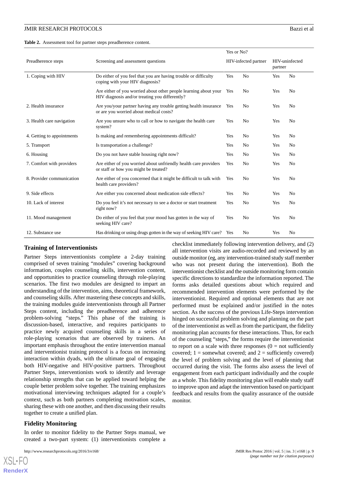<span id="page-8-0"></span>**Table 2.** Assessment tool for partner steps preadherence content.

|                            | Screening and assessment questions                                                                                 |     | Yes or No?           |     |                           |  |
|----------------------------|--------------------------------------------------------------------------------------------------------------------|-----|----------------------|-----|---------------------------|--|
| Preadherence steps         |                                                                                                                    |     | HIV-infected partner |     | HIV-uninfected<br>partner |  |
| 1. Coping with HIV         | Do either of you feel that you are having trouble or difficulty<br>Yes<br>coping with your HIV diagnosis?          |     | N <sub>0</sub>       | Yes | N <sub>0</sub>            |  |
|                            | Are either of you worried about other people learning about your<br>HIV diagnosis and/or treating you differently? | Yes | N <sub>0</sub>       | Yes | N <sub>0</sub>            |  |
| 2. Health insurance        | Are you/your partner having any trouble getting health insurance<br>or are you worried about medical costs?        | Yes | N <sub>0</sub>       | Yes | N <sub>0</sub>            |  |
| 3. Health care navigation  | Are you unsure who to call or how to navigate the health care<br>system?                                           | Yes | N <sub>0</sub>       | Yes | N <sub>0</sub>            |  |
| 4. Getting to appointments | Is making and remembering appointments difficult?                                                                  | Yes | N <sub>0</sub>       | Yes | N <sub>0</sub>            |  |
| 5. Transport               | Is transportation a challenge?                                                                                     | Yes | N <sub>0</sub>       | Yes | N <sub>0</sub>            |  |
| 6. Housing                 | Do you not have stable housing right now?                                                                          | Yes | N <sub>0</sub>       | Yes | N <sub>0</sub>            |  |
| 7. Comfort with providers  | Are either of you worried about unfriendly health care providers<br>or staff or how you might be treated?          | Yes | N <sub>0</sub>       | Yes | N <sub>0</sub>            |  |
| 8. Provider communication  | Are either of you concerned that it might be difficult to talk with<br>health care providers?                      | Yes | N <sub>0</sub>       | Yes | N <sub>0</sub>            |  |
| 9. Side effects            | Are either you concerned about medication side effects?                                                            | Yes | N <sub>0</sub>       | Yes | N <sub>0</sub>            |  |
| 10. Lack of interest       | Do you feel it's not necessary to see a doctor or start treatment<br>right now?                                    | Yes | N <sub>0</sub>       | Yes | N <sub>0</sub>            |  |
| 11. Mood management        | Do either of you feel that your mood has gotten in the way of<br>seeking HIV care?                                 | Yes | N <sub>0</sub>       | Yes | N <sub>0</sub>            |  |
| 12. Substance use          | Has drinking or using drugs gotten in the way of seeking HIV care? Yes                                             |     | N <sub>0</sub>       | Yes | N <sub>0</sub>            |  |

#### **Training of Interventionists**

Partner Steps interventionists complete a 2-day training comprised of seven training "modules" covering background information, couples counseling skills, intervention content, and opportunities to practice counseling through role-playing scenarios. The first two modules are designed to impart an understanding of the intervention, aims, theoretical framework, and counseling skills. After mastering these concepts and skills, the training modules guide interventionists through all Partner Steps content, including the preadherence and adherence problem-solving "steps." This phase of the training is discussion-based, interactive, and requires participants to practice newly acquired counseling skills in a series of role-playing scenarios that are observed by trainers. An important emphasis throughout the entire intervention manual and interventionist training protocol is a focus on increasing interaction within dyads, with the ultimate goal of engaging both HIV-negative and HIV-positive partners. Throughout Partner Steps, interventionists work to identify and leverage relationship strengths that can be applied toward helping the couple better problem solve together. The training emphasizes motivational interviewing techniques adapted for a couple's context, such as both partners completing motivation scales, sharing these with one another, and then discussing their results together to create a unified plan.

#### **Fidelity Monitoring**

[XSL](http://www.w3.org/Style/XSL)•FO **[RenderX](http://www.renderx.com/)**

In order to monitor fidelity to the Partner Steps manual, we created a two-part system: (1) interventionists complete a

http://www.researchprotocols.org/2016/3/e168/ JMIR Res Protoc 2016 | vol. 5 | iss. 3 | e168 | p. 9

checklist immediately following intervention delivery, and (2) all intervention visits are audio-recorded and reviewed by an outside monitor (eg, any intervention-trained study staff member who was not present during the intervention). Both the interventionist checklist and the outside monitoring form contain specific directions to standardize the information reported. The forms asks detailed questions about which required and recommended intervention elements were performed by the interventionist. Required and optional elements that are not performed must be explained and/or justified in the notes section. As the success of the previous Life-Steps intervention hinged on successful problem solving and planning on the part of the interventionist as well as from the participant, the fidelity monitoring plan accounts for these interactions. Thus, for each of the counseling "steps," the forms require the interventionist to report on a scale with three responses  $(0 = not sufficiently)$ covered;  $1 =$  somewhat covered; and  $2 =$  sufficiently covered) the level of problem solving and the level of planning that occurred during the visit. The forms also assess the level of engagement from each participant individually and the couple as a whole. This fidelity monitoring plan will enable study staff to improve upon and adapt the intervention based on participant feedback and results from the quality assurance of the outside monitor.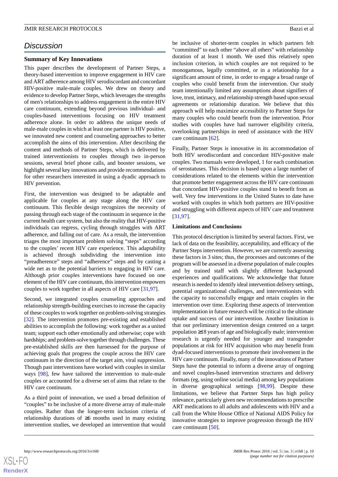## *Discussion*

#### **Summary of Key Innovations**

This paper describes the development of Partner Steps, a theory-based intervention to improve engagement in HIV care and ART adherence among HIV serodiscordant and concordant HIV-positive male-male couples. We drew on theory and evidence to develop Partner Steps, which leverages the strengths of men's relationships to address engagement in the entire HIV care continuum, extending beyond previous individual- and couples-based interventions focusing on HIV treatment adherence alone. In order to address the unique needs of male-male couples in which at least one partner is HIV positive, we innovated new content and counseling approaches to better accomplish the aims of this intervention. After describing the content and methods of Partner Steps, which is delivered by trained interventionists to couples through two in-person sessions, several brief phone calls, and booster sessions, we highlight several key innovations and provide recommendations for other researchers interested in using a dyadic approach to HIV prevention.

First, the intervention was designed to be adaptable and applicable for couples at any stage along the HIV care continuum. This flexible design recognizes the necessity of passing through each stage of the continuum in sequence in the current health care system, but also the reality that HIV-positive individuals can regress, cycling through struggles with ART adherence, and falling out of care. As a result, the intervention triages the most important problem solving "steps" according to the couples' recent HIV care experience. This adaptability is achieved through subdividing the intervention into "preadherence" steps and "adherence" steps and by casting a wide net as to the potential barriers to engaging in HIV care. Although prior couples interventions have focused on one element of the HIV care continuum, this intervention empowers couples to work together in all aspects of HIV care [[31](#page-11-13)[,97](#page-14-13)].

Second, we integrated couples counseling approaches and relationship strength-building exercises to increase the capacity of these couples to work together on problem-solving strategies [[32\]](#page-11-9). The intervention promotes pre-existing and established abilities to accomplish the following: work together as a united team; support each other emotionally and otherwise; cope with hardships; and problem-solve together through challenges. These pre-established skills are then harnessed for the purpose of achieving goals that progress the couple across the HIV care continuum in the direction of the target aim, viral suppression. Though past interventions have worked with couples in similar ways [[98\]](#page-14-14), few have tailored the intervention to male-male couples or accounted for a diverse set of aims that relate to the HIV care continuum.

As a third point of innovation, we used a broad definition of "couples" to be inclusive of a more diverse array of male-male couples. Rather than the longer-term inclusion criteria of relationship durations of ≥6 months used in many existing intervention studies, we developed an intervention that would

be inclusive of shorter-term couples in which partners felt "committed" to each other "above all others" with relationship duration of at least 1 month. We used this relatively open inclusion criterion, in which couples are not required to be monogamous, legally committed, or in a relationship for a significant amount of time, in order to engage a broad range of couples who could benefit from the intervention. Our study team intentionally limited any assumptions about signifiers of love, trust, intimacy, and relationship strength based upon sexual agreements or relationship duration. We believe that this approach will help maximize accessibility to Partner Steps for many couples who could benefit from the intervention. Prior studies with couples have had narrower eligibility criteria, overlooking partnerships in need of assistance with the HIV care continuum [\[62](#page-13-4)].

Finally, Partner Steps is innovative in its accommodation of both HIV serodiscordant and concordant HIV-positive male couples. Two manuals were developed, 1 for each combination of serostatuses. This decision is based upon a large number of considerations related to the elements within the intervention that promote better engagement across the HIV care continuum that concordant HIV-positive couples stand to benefit from as well. Very few interventions in the United States to date have worked with couples in which both partners are HIV-positive and struggling with different aspects of HIV care and treatment [[31,](#page-11-13)[97\]](#page-14-13).

#### **Limitations and Conclusions**

This protocol description is limited by several factors. First, we lack of data on the feasibility, acceptability, and efficacy of the Partner Steps intervention. However, we are currently assessing these factors in 3 sites; thus, the processes and outcomes of the program will be assessed in a diverse population of male couples and by trained staff with slightly different background experiences and qualifications. We acknowledge that future research is needed to identify ideal intervention delivery settings, potential organizational challenges, and interventionists with the capacity to successfully engage and retain couples in the intervention over time. Exploring these aspects of intervention implementation in future research will be critical to the ultimate uptake and success of our intervention. Another limitation is that our preliminary intervention design centered on a target population ≥18 years of age and biologically male; intervention research is urgently needed for younger and transgender populations at risk for HIV acquisition who may benefit from dyad-focused interventions to promote their involvement in the HIV care continuum. Finally, many of the innovations of Partner Steps have the potential to inform a diverse array of ongoing and novel couples-based intervention structures and delivery formats (eg, using online social media) among key populations in diverse geographical settings [\[98](#page-14-14),[99\]](#page-14-15). Despite these limitations, we believe that Partner Steps has high policy relevance, particularly given new recommendations to prescribe ART medications to all adults and adolescents with HIV and a call from the White House Office of National AIDS Policy for innovative strategies to improve progression through the HIV care continuum [\[50](#page-12-4)].

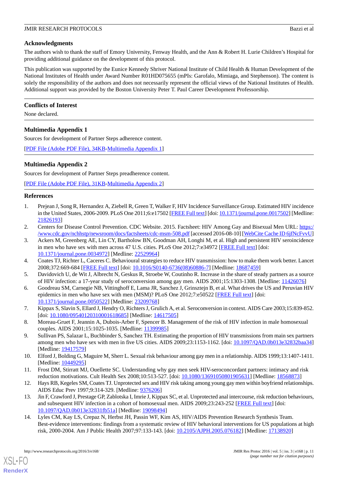## **Acknowledgments**

The authors wish to thank the staff of Emory University, Fenway Health, and the Ann & Robert H. Lurie Children's Hospital for providing additional guidance on the development of this protocol.

This publication was supported by the Eunice Kennedy Shriver National Institute of Child Health & Human Development of the National Institutes of Health under Award Number R01HD075655 (mPIs: Garofalo, Mimiaga, and Stephenson). The content is solely the responsibility of the authors and does not necessarily represent the official views of the National Institutes of Health. Additional support was provided by the Boston University Peter T. Paul Career Development Professorship.

## **Conflicts of Interest**

<span id="page-10-8"></span>None declared.

## **Multimedia Appendix 1**

Sources for development of Partner Steps adherence content.

<span id="page-10-9"></span>[[PDF File \(Adobe PDF File\), 34KB-Multimedia Appendix 1](https://jmir.org/api/download?alt_name=resprot_v5i3e168_app1.pdf&filename=0212cf27e46f2e97c7f05be794eea555.pdf)]

## **Multimedia Appendix 2**

Sources for development of Partner Steps preadherence content.

<span id="page-10-0"></span>[[PDF File \(Adobe PDF File\), 31KB-Multimedia Appendix 2](https://jmir.org/api/download?alt_name=resprot_v5i3e168_app2.pdf&filename=b97534f81d4009207f8ab8ead6842f19.pdf)]

## **References**

- <span id="page-10-2"></span><span id="page-10-1"></span>1. Prejean J, Song R, Hernandez A, Ziebell R, Green T, Walker F, HIV Incidence Surveillance Group. Estimated HIV incidence in the United States, 2006-2009. PLoS One 2011;6:e17502 [[FREE Full text\]](http://dx.plos.org/10.1371/journal.pone.0017502) [doi: [10.1371/journal.pone.0017502](http://dx.doi.org/10.1371/journal.pone.0017502)] [Medline: [21826193](http://www.ncbi.nlm.nih.gov/entrez/query.fcgi?cmd=Retrieve&db=PubMed&list_uids=21826193&dopt=Abstract)]
- 2. Centers for Disease Control Prevention. CDC Website. 2015. Factsheet: HIV Among Gay and Bisexual Men URL: [https:/](https://www.cdc.gov/nchhstp/newsroom/docs/factsheets/cdc-msm-508.pdf) [/www.cdc.gov/nchhstp/newsroom/docs/factsheets/cdc-msm-508.pdf](https://www.cdc.gov/nchhstp/newsroom/docs/factsheets/cdc-msm-508.pdf) [accessed 2016-08-10] [[WebCite Cache ID 6jfNcFvvU\]](http://www.webcitation.org/

                                6jfNcFvvU)
- <span id="page-10-3"></span>3. Ackers M, Greenberg AE, Lin CY, Bartholow BN, Goodman AH, Longhi M, et al. High and persistent HIV seroincidence in men who have sex with men across 47 U.S. cities. PLoS One 2012;7:e34972 [\[FREE Full text\]](http://dx.plos.org/10.1371/journal.pone.0034972) [doi: [10.1371/journal.pone.0034972\]](http://dx.doi.org/10.1371/journal.pone.0034972) [Medline: [22529964](http://www.ncbi.nlm.nih.gov/entrez/query.fcgi?cmd=Retrieve&db=PubMed&list_uids=22529964&dopt=Abstract)]
- 4. Coates TJ, Richter L, Caceres C. Behavioural strategies to reduce HIV transmission: how to make them work better. Lancet 2008;372:669-684 [\[FREE Full text\]](http://europepmc.org/abstract/MED/18687459) [doi: [10.1016/S0140-6736\(08\)60886-7](http://dx.doi.org/10.1016/S0140-6736(08)60886-7)] [Medline: [18687459\]](http://www.ncbi.nlm.nih.gov/entrez/query.fcgi?cmd=Retrieve&db=PubMed&list_uids=18687459&dopt=Abstract)
- <span id="page-10-6"></span>5. Davidovich U, de Wit J, Albrecht N, Geskus R, Stroebe W, Coutinho R. Increase in the share of steady partners as a source of HIV infection: a 17-year study of seroconversion among gay men. AIDS 2001;15:1303-1308. [Medline: [11426076](http://www.ncbi.nlm.nih.gov/entrez/query.fcgi?cmd=Retrieve&db=PubMed&list_uids=11426076&dopt=Abstract)]
- <span id="page-10-7"></span>6. Goodreau SM, Carnegie NB, Vittinghoff E, Lama JR, Sanchez J, Grinsztejn B, et al. What drives the US and Peruvian HIV epidemics in men who have sex with men (MSM)? PLoS One 2012;7:e50522 [[FREE Full text](http://dx.plos.org/10.1371/journal.pone.0050522)] [doi: [10.1371/journal.pone.0050522\]](http://dx.doi.org/10.1371/journal.pone.0050522) [Medline: [23209768](http://www.ncbi.nlm.nih.gov/entrez/query.fcgi?cmd=Retrieve&db=PubMed&list_uids=23209768&dopt=Abstract)]
- <span id="page-10-4"></span>7. Kippax S, Slavin S, Ellard J, Hendry O, Richters J, Grulich A, et al. Seroconversion in context. AIDS Care 2003;15:839-852. [doi: [10.1080/09540120310001618685](http://dx.doi.org/10.1080/09540120310001618685)] [Medline: [14617505\]](http://www.ncbi.nlm.nih.gov/entrez/query.fcgi?cmd=Retrieve&db=PubMed&list_uids=14617505&dopt=Abstract)
- <span id="page-10-5"></span>8. Moreau-Gruet F, Jeannin A, Dubois-Arber F, Spencer B. Management of the risk of HIV infection in male homosexual couples. AIDS 2001;15:1025-1035. [Medline: [11399985\]](http://www.ncbi.nlm.nih.gov/entrez/query.fcgi?cmd=Retrieve&db=PubMed&list_uids=11399985&dopt=Abstract)
- 9. Sullivan PS, Salazar L, Buchbinder S, Sanchez TH. Estimating the proportion of HIV transmissions from main sex partners among men who have sex with men in five US cities. AIDS 2009;23:1153-1162. [doi: [10.1097/QAD.0b013e32832baa34](http://dx.doi.org/10.1097/QAD.0b013e32832baa34)] [Medline: [19417579](http://www.ncbi.nlm.nih.gov/entrez/query.fcgi?cmd=Retrieve&db=PubMed&list_uids=19417579&dopt=Abstract)]
- 10. Elford J, Bolding G, Maguire M, Sherr L. Sexual risk behaviour among gay men in a relationship. AIDS 1999;13:1407-1411. [Medline: [10449295](http://www.ncbi.nlm.nih.gov/entrez/query.fcgi?cmd=Retrieve&db=PubMed&list_uids=10449295&dopt=Abstract)]
- 11. Frost DM, Stirratt MJ, Ouellette SC. Understanding why gay men seek HIV-seroconcordant partners: intimacy and risk reduction motivations. Cult Health Sex 2008;10:513-527. [doi: [10.1080/13691050801905631](http://dx.doi.org/10.1080/13691050801905631)] [Medline: [18568873](http://www.ncbi.nlm.nih.gov/entrez/query.fcgi?cmd=Retrieve&db=PubMed&list_uids=18568873&dopt=Abstract)]
- 12. Hays RB, Kegeles SM, Coates TJ. Unprotected sex and HIV risk taking among young gay men within boyfriend relationships. AIDS Educ Prev 1997;9:314-329. [Medline: [9376206\]](http://www.ncbi.nlm.nih.gov/entrez/query.fcgi?cmd=Retrieve&db=PubMed&list_uids=9376206&dopt=Abstract)
- 13. Jin F, Crawford J, Prestage GP, Zablotska I, Imrie J, Kippax SC, et al. Unprotected anal intercourse, risk reduction behaviours, and subsequent HIV infection in a cohort of homosexual men. AIDS 2009;23:243-252 [\[FREE Full text\]](http://europepmc.org/abstract/MED/19098494) [doi: [10.1097/QAD.0b013e32831fb51a](http://dx.doi.org/10.1097/QAD.0b013e32831fb51a)] [Medline: [19098494\]](http://www.ncbi.nlm.nih.gov/entrez/query.fcgi?cmd=Retrieve&db=PubMed&list_uids=19098494&dopt=Abstract)
- 14. Lyles CM, Kay LS, Crepaz N, Herbst JH, Passin WF, Kim AS, HIV/AIDS Prevention Research Synthesis Team. Best-evidence interventions: findings from a systematic review of HIV behavioral interventions for US populations at high risk, 2000-2004. Am J Public Health 2007;97:133-143. [doi: [10.2105/AJPH.2005.076182](http://dx.doi.org/10.2105/AJPH.2005.076182)] [Medline: [17138920](http://www.ncbi.nlm.nih.gov/entrez/query.fcgi?cmd=Retrieve&db=PubMed&list_uids=17138920&dopt=Abstract)]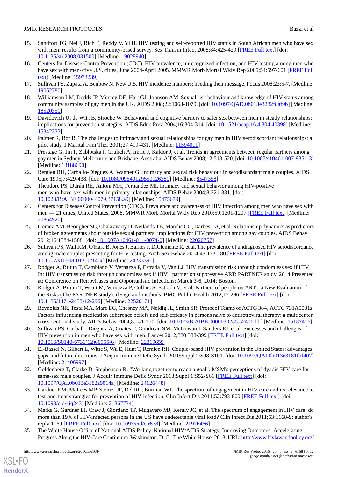- 15. Sandfort TG, Nel J, Rich E, Reddy V, Yi H. HIV testing and self-reported HIV status in South African men who have sex with men: results from a community-based survey. Sex Transm Infect 2008;84:425-429 [\[FREE Full text\]](http://europepmc.org/abstract/MED/19028940) [doi: [10.1136/sti.2008.031500](http://dx.doi.org/10.1136/sti.2008.031500)] [Medline: [19028940](http://www.ncbi.nlm.nih.gov/entrez/query.fcgi?cmd=Retrieve&db=PubMed&list_uids=19028940&dopt=Abstract)]
- 16. Centers for Disease ControlPrevention (CDC). HIV prevalence, unrecognized infection, and HIV testing among men who have sex with men--five U.S. cities, June 2004-April 2005. MMWR Morb Mortal Wkly Rep 2005;54:597-601 [[FREE Full](http://www.cdc.gov/mmwr/preview/mmwrhtml/mm5424a2.htm) [text](http://www.cdc.gov/mmwr/preview/mmwrhtml/mm5424a2.htm)] [Medline: [15973239](http://www.ncbi.nlm.nih.gov/entrez/query.fcgi?cmd=Retrieve&db=PubMed&list_uids=15973239&dopt=Abstract)]
- <span id="page-11-0"></span>17. Sullivan PS, Zapata A, Benbow N. New U.S. HIV incidence numbers: heeding their message. Focus 2008;23:5-7. [Medline: [19062780](http://www.ncbi.nlm.nih.gov/entrez/query.fcgi?cmd=Retrieve&db=PubMed&list_uids=19062780&dopt=Abstract)]
- <span id="page-11-1"></span>18. Williamson LM, Dodds JP, Mercey DE, Hart GJ, Johnson AM. Sexual risk behaviour and knowledge of HIV status among community samples of gay men in the UK. AIDS 2008;22:1063-1070. [doi: [10.1097/QAD.0b013e3282f8af9b](http://dx.doi.org/10.1097/QAD.0b013e3282f8af9b)] [Medline: [18520350](http://www.ncbi.nlm.nih.gov/entrez/query.fcgi?cmd=Retrieve&db=PubMed&list_uids=18520350&dopt=Abstract)]
- 19. Davidovich U, de Wit JB, Stroebe W. Behavioral and cognitive barriers to safer sex between men in steady relationships: implications for prevention strategies. AIDS Educ Prev 2004;16:304-314. [doi: [10.1521/aeap.16.4.304.40398\]](http://dx.doi.org/10.1521/aeap.16.4.304.40398) [Medline: [15342333](http://www.ncbi.nlm.nih.gov/entrez/query.fcgi?cmd=Retrieve&db=PubMed&list_uids=15342333&dopt=Abstract)]
- 20. Palmer R, Bor R. The challenges to intimacy and sexual relationships for gay men in HIV serodiscordant relationships: a pilot study. J Marital Fam Ther 2001;27:419-431. [Medline: [11594011](http://www.ncbi.nlm.nih.gov/entrez/query.fcgi?cmd=Retrieve&db=PubMed&list_uids=11594011&dopt=Abstract)]
- 21. Prestage G, Jin F, Zablotska I, Grulich A, Imrie J, Kaldor J, et al. Trends in agreements between regular partners among gay men in Sydney, Melbourne and Brisbane, Australia. AIDS Behav 2008;12:513-520. [doi: [10.1007/s10461-007-9351-3](http://dx.doi.org/10.1007/s10461-007-9351-3)] [Medline: [18188690](http://www.ncbi.nlm.nih.gov/entrez/query.fcgi?cmd=Retrieve&db=PubMed&list_uids=18188690&dopt=Abstract)]
- <span id="page-11-2"></span>22. Remien RH, Carballo-Diéguez A, Wagner G. Intimacy and sexual risk behaviour in serodiscordant male couples. AIDS Care 1995;7:429-438. [doi: [10.1080/09540129550126380](http://dx.doi.org/10.1080/09540129550126380)] [Medline: [8547358](http://www.ncbi.nlm.nih.gov/entrez/query.fcgi?cmd=Retrieve&db=PubMed&list_uids=8547358&dopt=Abstract)]
- <span id="page-11-3"></span>23. Theodore PS, Durán RE, Antoni MH, Fernandez MI. Intimacy and sexual behavior among HIV-positive men-who-have-sex-with-men in primary relationships. AIDS Behav 2004;8:321-331. [doi: [10.1023/B:AIBE.0000044079.37158.a9](http://dx.doi.org/10.1023/B:AIBE.0000044079.37158.a9)] [Medline: [15475679](http://www.ncbi.nlm.nih.gov/entrez/query.fcgi?cmd=Retrieve&db=PubMed&list_uids=15475679&dopt=Abstract)]
- <span id="page-11-4"></span>24. Centers for Disease Control Prevention (CDC). Prevalence and awareness of HIV infection among men who have sex with men --- 21 cities, United States, 2008. MMWR Morb Mortal Wkly Rep 2010;59:1201-1207 [[FREE Full text](http://www.cdc.gov/mmwr/preview/mmwrhtml/mm5937a2.htm)] [Medline: [20864920](http://www.ncbi.nlm.nih.gov/entrez/query.fcgi?cmd=Retrieve&db=PubMed&list_uids=20864920&dopt=Abstract)]
- <span id="page-11-5"></span>25. Gomez AM, Beougher SC, Chakravarty D, Neilands TB, Mandic CG, Darbes LA, et al. Relationship dynamics as predictors of broken agreements about outside sexual partners: implications for HIV prevention among gay couples. AIDS Behav 2012;16:1584-1588. [doi: [10.1007/s10461-011-0074-0\]](http://dx.doi.org/10.1007/s10461-011-0074-0) [Medline: [22020757\]](http://www.ncbi.nlm.nih.gov/entrez/query.fcgi?cmd=Retrieve&db=PubMed&list_uids=22020757&dopt=Abstract)
- <span id="page-11-6"></span>26. Sullivan PS, Wall KM, O'Hara B, Jones J, Barnes J, DiClemente R, et al. The prevalence of undiagnosed HIV serodiscordance among male couples presenting for HIV testing. Arch Sex Behav 2014;43:173-180 [[FREE Full text](http://europepmc.org/abstract/MED/24233391)] [doi: [10.1007/s10508-013-0214-x\]](http://dx.doi.org/10.1007/s10508-013-0214-x) [Medline: [24233391](http://www.ncbi.nlm.nih.gov/entrez/query.fcgi?cmd=Retrieve&db=PubMed&list_uids=24233391&dopt=Abstract)]
- <span id="page-11-7"></span>27. Rodger A, Bruun T, Cambiano V, Vernazza P, Estrada V, Van LJ. HIV transmission risk through condomless sex if HIV. In: HIV transmission risk through condomless sex if HIV+ partner on suppressive ART: PARTNER study. 2014 Presented at: Conference on Retroviruses and Opportunistic Infections; March 3-6, 2014; Boston.
- <span id="page-11-8"></span>28. Rodger A, Bruun T, Weait M, Vernazza P, Collins S, Estrada V, et al. Partners of people on ART - a New Evaluation of the Risks (The PARTNER study): design and methods. BMC Public Health 2012;12:296 [[FREE Full text](http://bmcpublichealth.biomedcentral.com/articles/10.1186/1471-2458-12-296)] [doi: [10.1186/1471-2458-12-296\]](http://dx.doi.org/10.1186/1471-2458-12-296) [Medline: [22520171\]](http://www.ncbi.nlm.nih.gov/entrez/query.fcgi?cmd=Retrieve&db=PubMed&list_uids=22520171&dopt=Abstract)
- <span id="page-11-13"></span>29. Reynolds NR, Testa MA, Marc LG, Chesney MA, Neidig JL, Smith SR, Protocol Teams of ACTG 384, ACTG 731A5031s. Factors influencing medication adherence beliefs and self-efficacy in persons naive to antiretroviral therapy: a multicenter, cross-sectional study. AIDS Behav 2004;8:141-150. [doi: [10.1023/B:AIBE.0000030245.52406.bb\]](http://dx.doi.org/10.1023/B:AIBE.0000030245.52406.bb) [Medline: [15187476\]](http://www.ncbi.nlm.nih.gov/entrez/query.fcgi?cmd=Retrieve&db=PubMed&list_uids=15187476&dopt=Abstract)
- <span id="page-11-9"></span>30. Sullivan PS, Carballo-Diéguez A, Coates T, Goodreau SM, McGowan I, Sanders EJ, et al. Successes and challenges of HIV prevention in men who have sex with men. Lancet 2012;380:388-399 [\[FREE Full text](http://europepmc.org/abstract/MED/22819659)] [doi: [10.1016/S0140-6736\(12\)60955-6\]](http://dx.doi.org/10.1016/S0140-6736(12)60955-6) [Medline: [22819659](http://www.ncbi.nlm.nih.gov/entrez/query.fcgi?cmd=Retrieve&db=PubMed&list_uids=22819659&dopt=Abstract)]
- <span id="page-11-10"></span>31. El-Bassel N, Gilbert L, Witte S, Wu E, Hunt T, Remien RH. Couple-based HIV prevention in the United States: advantages, gaps, and future directions. J Acquir Immune Defic Syndr 2010;Suppl 2:S98-S101. [doi: [10.1097/QAI.0b013e3181fbf407](http://dx.doi.org/10.1097/QAI.0b013e3181fbf407)] [Medline: [21406997](http://www.ncbi.nlm.nih.gov/entrez/query.fcgi?cmd=Retrieve&db=PubMed&list_uids=21406997&dopt=Abstract)]
- <span id="page-11-11"></span>32. Goldenberg T, Clarke D, Stephenson R. "Working together to reach a goal": MSM's perceptions of dyadic HIV care for same-sex male couples. J Acquir Immune Defic Syndr 2013;Suppl 1:S52-S61 [[FREE Full text](http://europepmc.org/abstract/MED/24126448)] [doi: [10.1097/QAI.0b013e3182a9014a](http://dx.doi.org/10.1097/QAI.0b013e3182a9014a)] [Medline: [24126448](http://www.ncbi.nlm.nih.gov/entrez/query.fcgi?cmd=Retrieve&db=PubMed&list_uids=24126448&dopt=Abstract)]
- <span id="page-11-12"></span>33. Gardner EM, McLees MP, Steiner JF, Del RC, Burman WJ. The spectrum of engagement in HIV care and its relevance to test-and-treat strategies for prevention of HIV infection. Clin Infect Dis 2011;52:793-800 [\[FREE Full text\]](http://www.cid.oxfordjournals.org/cgi/pmidlookup?view=long&pmid=21367734) [doi: [10.1093/cid/ciq243](http://dx.doi.org/10.1093/cid/ciq243)] [Medline: [21367734\]](http://www.ncbi.nlm.nih.gov/entrez/query.fcgi?cmd=Retrieve&db=PubMed&list_uids=21367734&dopt=Abstract)
- 34. Marks G, Gardner LI, Craw J, Giordano TP, Mugavero MJ, Keruly JC, et al. The spectrum of engagement in HIV care: do more than 19% of HIV-infected persons in the US have undetectable viral load? Clin Infect Dis 2011;53:1168-9; author's reply 1169 [\[FREE Full text\]](http://www.cid.oxfordjournals.org/cgi/pmidlookup?view=long&pmid=21976466) [doi: [10.1093/cid/cir678\]](http://dx.doi.org/10.1093/cid/cir678) [Medline: [21976466\]](http://www.ncbi.nlm.nih.gov/entrez/query.fcgi?cmd=Retrieve&db=PubMed&list_uids=21976466&dopt=Abstract)
- 35. The White House Office of National AIDS Policy. National HIV/AIDS Strategy, Improving Outcomes: Accelerating Progress Along the HIV Care Continuum. Washington, D. C.: The White House; 2013. URL: [http://www.hivlawandpolicy.org/](http://www.hivlawandpolicy.org/resources/national-hivaids-strategy-improving-outcomes-accelerating-progress-along-hiv-care)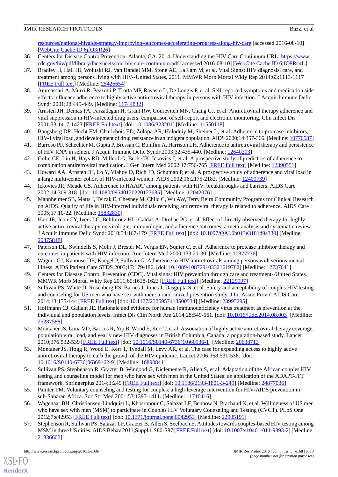[resources/national-hivaids-strategy-improving-outcomes-accelerating-progress-along-hiv-care](http://www.hivlawandpolicy.org/resources/national-hivaids-strategy-improving-outcomes-accelerating-progress-along-hiv-care) [accessed 2016-08-10] [[WebCite Cache ID 6jfO3jR26](http://www.webcitation.org/

                                6jfO3jR26)]

- <span id="page-12-0"></span>36. Centers for Disease ControlPrevention. Atlanta, GA. 2014. Understanding the HIV Care Continuum URL: [https://www.](https://www.cdc.gov/hiv/pdf/library/factsheets/cdc-hiv-care-continuum.pdf) [cdc.gov/hiv/pdf/library/factsheets/cdc-hiv-care-continuum.pdf](https://www.cdc.gov/hiv/pdf/library/factsheets/cdc-hiv-care-continuum.pdf) [accessed 2016-08-10] [\[WebCite Cache ID 6jfO8Rc4L\]](http://www.webcitation.org/

                                6jfO8Rc4L)
- 37. Bradley H, Hall HI, Wolitski RJ, Van Handel MM, Stone AE, LaFlam M, et al. Vital Signs: HIV diagnosis, care, and treatment among persons living with HIV--United States, 2011. MMWR Morb Mortal Wkly Rep 2014;63:1113-1117 [[FREE Full text](http://www.cdc.gov/mmwr/preview/mmwrhtml/mm6347a5.htm)] [Medline: [25426654](http://www.ncbi.nlm.nih.gov/entrez/query.fcgi?cmd=Retrieve&db=PubMed&list_uids=25426654&dopt=Abstract)]
- <span id="page-12-1"></span>38. Ammassari A, Murri R, Pezzotti P, Trotta MP, Ravasio L, De Longis P, et al. Self-reported symptoms and medication side effects influence adherence to highly active antiretroviral therapy in persons with HIV infection. J Acquir Immune Defic Syndr 2001;28:445-449. [Medline: [11744832\]](http://www.ncbi.nlm.nih.gov/entrez/query.fcgi?cmd=Retrieve&db=PubMed&list_uids=11744832&dopt=Abstract)
- 39. Arnsten JH, Demas PA, Farzadegan H, Grant RW, Gourevitch MN, Chang CJ, et al. Antiretroviral therapy adherence and viral suppression in HIV-infected drug users: comparison of self-report and electronic monitoring. Clin Infect Dis 2001;33:1417-1423 [\[FREE Full text\]](http://www.cid.oxfordjournals.org/cgi/pmidlookup?view=long&pmid=11550118) [doi: [10.1086/323201](http://dx.doi.org/10.1086/323201)] [Medline: [11550118\]](http://www.ncbi.nlm.nih.gov/entrez/query.fcgi?cmd=Retrieve&db=PubMed&list_uids=11550118&dopt=Abstract)
- 40. Bangsberg DR, Hecht FM, Charlebois ED, Zolopa AR, Holodniy M, Sheiner L, et al. Adherence to protease inhibitors, HIV-1 viral load, and development of drug resistance in an indigent population. AIDS 2000;14:357-366. [Medline: [10770537\]](http://www.ncbi.nlm.nih.gov/entrez/query.fcgi?cmd=Retrieve&db=PubMed&list_uids=10770537&dopt=Abstract)
- 41. Barroso PF, Schechter M, Gupta P, Bressan C, Bomfim A, Harrison LH. Adherence to antiretroviral therapy and persistence of HIV RNA in semen. J Acquir Immune Defic Syndr 2003;32:435-440. [Medline: [12640203\]](http://www.ncbi.nlm.nih.gov/entrez/query.fcgi?cmd=Retrieve&db=PubMed&list_uids=12640203&dopt=Abstract)
- 42. Golin CE, Liu H, Hays RD, Miller LG, Beck CK, Ickovics J, et al. A prospective study of predictors of adherence to combination antiretroviral medication. J Gen Intern Med 2002;17:756-765 [\[FREE Full text\]](http://onlinelibrary.wiley.com/resolve/openurl?genre=article&sid=nlm:pubmed&issn=0884-8734&date=2002&volume=17&issue=10&spage=756) [Medline: [12390551\]](http://www.ncbi.nlm.nih.gov/entrez/query.fcgi?cmd=Retrieve&db=PubMed&list_uids=12390551&dopt=Abstract)
- 43. Howard AA, Arnsten JH, Lo Y, Vlahov D, Rich JD, Schuman P, et al. A prospective study of adherence and viral load in a large multi-center cohort of HIV-infected women. AIDS 2002;16:2175-2182. [Medline: [12409739\]](http://www.ncbi.nlm.nih.gov/entrez/query.fcgi?cmd=Retrieve&db=PubMed&list_uids=12409739&dopt=Abstract)
- 44. Ickovics JR, Meade CS. Adherence to HAART among patients with HIV: breakthroughs and barriers. AIDS Care 2002;14:309-318. [doi: [10.1080/09540120220123685](http://dx.doi.org/10.1080/09540120220123685)] [Medline: [12042076\]](http://www.ncbi.nlm.nih.gov/entrez/query.fcgi?cmd=Retrieve&db=PubMed&list_uids=12042076&dopt=Abstract)
- 45. Mannheimer SB, Matts J, Telzak E, Chesney M, Child C, Wu AW, Terry Beirn Community Programs for Clinical Research on AIDS. Quality of life in HIV-infected individuals receiving antiretroviral therapy is related to adherence. AIDS Care 2005;17:10-22. [Medline: [15832830](http://www.ncbi.nlm.nih.gov/entrez/query.fcgi?cmd=Retrieve&db=PubMed&list_uids=15832830&dopt=Abstract)]
- 46. Hart JE, Jeon CY, Ivers LC, Behforouz HL, Caldas A, Drobac PC, et al. Effect of directly observed therapy for highly active antiretroviral therapy on virologic, immunologic, and adherence outcomes: a meta-analysis and systematic review. J Acquir Immune Defic Syndr 2010;54:167-179 [[FREE Full text](http://europepmc.org/abstract/MED/20375848)] [doi: [10.1097/QAI.0b013e3181d9a330\]](http://dx.doi.org/10.1097/QAI.0b013e3181d9a330) [Medline: [20375848](http://www.ncbi.nlm.nih.gov/entrez/query.fcgi?cmd=Retrieve&db=PubMed&list_uids=20375848&dopt=Abstract)]
- <span id="page-12-3"></span><span id="page-12-2"></span>47. Paterson DL, Swindells S, Mohr J, Brester M, Vergis EN, Squier C, et al. Adherence to protease inhibitor therapy and outcomes in patients with HIV infection. Ann Intern Med 2000;133:21-30. [Medline: [10877736](http://www.ncbi.nlm.nih.gov/entrez/query.fcgi?cmd=Retrieve&db=PubMed&list_uids=10877736&dopt=Abstract)]
- <span id="page-12-4"></span>48. Wagner GJ, Kanouse DE, Koegel P, Sullivan G. Adherence to HIV antiretrovirals among persons with serious mental illness. AIDS Patient Care STDS 2003;17:179-186. [doi: [10.1089/108729103321619782\]](http://dx.doi.org/10.1089/108729103321619782) [Medline: [12737641\]](http://www.ncbi.nlm.nih.gov/entrez/query.fcgi?cmd=Retrieve&db=PubMed&list_uids=12737641&dopt=Abstract)
- <span id="page-12-5"></span>49. Centers for Disease Control Prevention (CDC). Vital signs: HIV prevention through care and treatment--United States. MMWR Morb Mortal Wkly Rep 2011;60:1618-1623 [\[FREE Full text\]](http://www.cdc.gov/mmwr/preview/mmwrhtml/mm6047a4.htm) [Medline: [22129997\]](http://www.ncbi.nlm.nih.gov/entrez/query.fcgi?cmd=Retrieve&db=PubMed&list_uids=22129997&dopt=Abstract)
- 50. Sullivan PS, White D, Rosenberg ES, Barnes J, Jones J, Dasgupta S, et al. Safety and acceptability of couples HIV testing and counseling for US men who have sex with men: a randomized prevention study. J Int Assoc Provid AIDS Care 2014;13:135-144 [\[FREE Full text\]](http://europepmc.org/abstract/MED/23995295) [doi: [10.1177/2325957413500534](http://dx.doi.org/10.1177/2325957413500534)] [Medline: [23995295\]](http://www.ncbi.nlm.nih.gov/entrez/query.fcgi?cmd=Retrieve&db=PubMed&list_uids=23995295&dopt=Abstract)
- <span id="page-12-6"></span>51. Hoffmann CJ, Gallant JE. Rationale and evidence for human immunodeficiency virus treatment as prevention at the individual and population levels. Infect Dis Clin North Am 2014;28:549-561. [doi: [10.1016/j.idc.2014.08.003](http://dx.doi.org/10.1016/j.idc.2014.08.003)] [Medline: [25287588](http://www.ncbi.nlm.nih.gov/entrez/query.fcgi?cmd=Retrieve&db=PubMed&list_uids=25287588&dopt=Abstract)]
- <span id="page-12-7"></span>52. Montaner JS, Lima VD, Barrios R, Yip B, Wood E, Kerr T, et al. Association of highly active antiretroviral therapy coverage, population viral load, and yearly new HIV diagnoses in British Columbia, Canada: a population-based study. Lancet 2010;376:532-539 [\[FREE Full text\]](http://europepmc.org/abstract/MED/20638713) [doi: [10.1016/S0140-6736\(10\)60936-1](http://dx.doi.org/10.1016/S0140-6736(10)60936-1)] [Medline: [20638713\]](http://www.ncbi.nlm.nih.gov/entrez/query.fcgi?cmd=Retrieve&db=PubMed&list_uids=20638713&dopt=Abstract)
- <span id="page-12-8"></span>53. Montaner JS, Hogg R, Wood E, Kerr T, Tyndall M, Levy AR, et al. The case for expanding access to highly active antiretroviral therapy to curb the growth of the HIV epidemic. Lancet 2006;368:531-536. [doi: [10.1016/S0140-6736\(06\)69162-9\]](http://dx.doi.org/10.1016/S0140-6736(06)69162-9) [Medline: [16890841](http://www.ncbi.nlm.nih.gov/entrez/query.fcgi?cmd=Retrieve&db=PubMed&list_uids=16890841&dopt=Abstract)]
- <span id="page-12-9"></span>54. Sullivan PS, Stephenson R, Grazter B, Wingood G, Diclemente R, Allen S, et al. Adaptation of the African couples HIV testing and counseling model for men who have sex with men in the United States: an application of the ADAPT-ITT framework. Springerplus 2014;3:249 [\[FREE Full text](http://europepmc.org/abstract/MED/24877036)] [doi: [10.1186/2193-1801-3-249\]](http://dx.doi.org/10.1186/2193-1801-3-249) [Medline: [24877036\]](http://www.ncbi.nlm.nih.gov/entrez/query.fcgi?cmd=Retrieve&db=PubMed&list_uids=24877036&dopt=Abstract)
- <span id="page-12-10"></span>55. Painter TM. Voluntary counseling and testing for couples: a high-leverage intervention for HIV/AIDS prevention in sub-Saharan Africa. Soc Sci Med 2001;53:1397-1411. [Medline: [11710416](http://www.ncbi.nlm.nih.gov/entrez/query.fcgi?cmd=Retrieve&db=PubMed&list_uids=11710416&dopt=Abstract)]
- 56. Wagenaar BH, Christiansen-Lindquist L, Khosropour C, Salazar LF, Benbow N, Prachand N, et al. Willingness of US men who have sex with men (MSM) to participate in Couples HIV Voluntary Counseling and Testing (CVCT). PLoS One 2012;7:e42953 [\[FREE Full text\]](http://dx.plos.org/10.1371/journal.pone.0042953) [doi: [10.1371/journal.pone.0042953](http://dx.doi.org/10.1371/journal.pone.0042953)] [Medline: [22905191\]](http://www.ncbi.nlm.nih.gov/entrez/query.fcgi?cmd=Retrieve&db=PubMed&list_uids=22905191&dopt=Abstract)
- 57. Stephenson R, Sullivan PS, Salazar LF, Gratzer B, Allen S, Seelbach E. Attitudes towards couples-based HIV testing among MSM in three US cities. AIDS Behav 2011;Suppl 1:S80-S87 [\[FREE Full text](http://europepmc.org/abstract/MED/21336607)] [doi: [10.1007/s10461-011-9893-2](http://dx.doi.org/10.1007/s10461-011-9893-2)] [Medline: [21336607](http://www.ncbi.nlm.nih.gov/entrez/query.fcgi?cmd=Retrieve&db=PubMed&list_uids=21336607&dopt=Abstract)]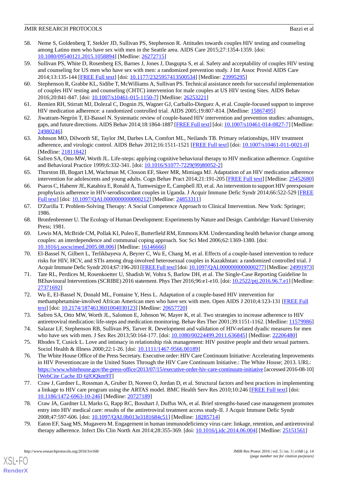- <span id="page-13-0"></span>58. Neme S, Goldenberg T, Stekler JD, Sullivan PS, Stephenson R. Attitudes towards couples HIV testing and counseling among Latino men who have sex with men in the Seattle area. AIDS Care 2015;27:1354-1359. [doi: [10.1080/09540121.2015.1058894\]](http://dx.doi.org/10.1080/09540121.2015.1058894) [Medline: [26272715\]](http://www.ncbi.nlm.nih.gov/entrez/query.fcgi?cmd=Retrieve&db=PubMed&list_uids=26272715&dopt=Abstract)
- <span id="page-13-1"></span>59. Sullivan PS, White D, Rosenberg ES, Barnes J, Jones J, Dasgupta S, et al. Safety and acceptability of couples HIV testing and counseling for US men who have sex with men: a randomized prevention study. J Int Assoc Provid AIDS Care 2014;13:135-144 [\[FREE Full text\]](http://europepmc.org/abstract/MED/23995295) [doi: [10.1177/2325957413500534](http://dx.doi.org/10.1177/2325957413500534)] [Medline: [23995295\]](http://www.ncbi.nlm.nih.gov/entrez/query.fcgi?cmd=Retrieve&db=PubMed&list_uids=23995295&dopt=Abstract)
- <span id="page-13-2"></span>60. Stephenson R, Grabbe KL, Sidibe T, McWilliams A, Sullivan PS. Technical assistance needs for successful implementation of couples HIV testing and counseling (CHTC) intervention for male couples at US HIV testing Sites. AIDS Behav 2016;20:841-847. [doi: [10.1007/s10461-015-1150-7\]](http://dx.doi.org/10.1007/s10461-015-1150-7) [Medline: [26253221\]](http://www.ncbi.nlm.nih.gov/entrez/query.fcgi?cmd=Retrieve&db=PubMed&list_uids=26253221&dopt=Abstract)
- <span id="page-13-4"></span><span id="page-13-3"></span>61. Remien RH, Stirratt MJ, Dolezal C, Dognin JS, Wagner GJ, Carballo-Dieguez A, et al. Couple-focused support to improve HIV medication adherence: a randomized controlled trial. AIDS 2005;19:807-814. [Medline: [15867495](http://www.ncbi.nlm.nih.gov/entrez/query.fcgi?cmd=Retrieve&db=PubMed&list_uids=15867495&dopt=Abstract)]
- <span id="page-13-5"></span>62. Jiwatram-Negrón T, El-Bassel N. Systematic review of couple-based HIV intervention and prevention studies: advantages, gaps, and future directions. AIDS Behav 2014;18:1864-1887 [\[FREE Full text](http://europepmc.org/abstract/MED/24980246)] [doi: [10.1007/s10461-014-0827-7](http://dx.doi.org/10.1007/s10461-014-0827-7)] [Medline: [24980246](http://www.ncbi.nlm.nih.gov/entrez/query.fcgi?cmd=Retrieve&db=PubMed&list_uids=24980246&dopt=Abstract)]
- <span id="page-13-6"></span>63. Johnson MO, Dilworth SE, Taylor JM, Darbes LA, Comfort ML, Neilands TB. Primary relationships, HIV treatment adherence, and virologic control. AIDS Behav 2012;16:1511-1521 [\[FREE Full text\]](http://europepmc.org/abstract/MED/21811842) [doi: [10.1007/s10461-011-0021-0](http://dx.doi.org/10.1007/s10461-011-0021-0)] [Medline: [21811842](http://www.ncbi.nlm.nih.gov/entrez/query.fcgi?cmd=Retrieve&db=PubMed&list_uids=21811842&dopt=Abstract)]
- <span id="page-13-7"></span>64. Safren SA, Otto MW, Worth JL. Life-steps: applying cognitive behavioral therapy to HIV medication adherence. Cognitive and Behavioral Practice 1999;6:332-341. [doi: [10.1016/S1077-7229\(99\)80052-2\]](http://dx.doi.org/10.1016/S1077-7229(99)80052-2)
- <span id="page-13-8"></span>65. Thurston IB, Bogart LM, Wachman M, Closson EF, Skeer MR, Mimiaga MJ. Adaptation of an HIV medication adherence intervention for adolescents and young adults. Cogn Behav Pract 2014;21:191-205 [[FREE Full text\]](http://europepmc.org/abstract/MED/25452680) [Medline: [25452680](http://www.ncbi.nlm.nih.gov/entrez/query.fcgi?cmd=Retrieve&db=PubMed&list_uids=25452680&dopt=Abstract)]
- <span id="page-13-9"></span>66. Psaros C, Haberer JE, Katabira E, Ronald A, Tumwesigye E, Campbell JD, et al. An intervention to support HIV preexposure prophylaxis adherence in HIV-serodiscordant couples in Uganda. J Acquir Immune Defic Syndr 2014;66:522-529 [[FREE](http://europepmc.org/abstract/MED/24853311) [Full text\]](http://europepmc.org/abstract/MED/24853311) [doi: [10.1097/QAI.0000000000000212\]](http://dx.doi.org/10.1097/QAI.0000000000000212) [Medline: [24853311](http://www.ncbi.nlm.nih.gov/entrez/query.fcgi?cmd=Retrieve&db=PubMed&list_uids=24853311&dopt=Abstract)]
- <span id="page-13-11"></span><span id="page-13-10"></span>67. D'Zurilla T. Problem-Solving Therapy: A Social Competence Approach to Clinical Intervention. New York: Springer; 1986.
- 68. Bronfenbrenner U. The Ecology of Human Development: Experiments by Nature and Design. Cambridge: Harvard University Press; 1981.
- <span id="page-13-12"></span>69. Lewis MA, McBride CM, Pollak KI, Puleo E, Butterfield RM, Emmons KM. Understanding health behavior change among couples: an interdependence and communal coping approach. Soc Sci Med 2006;62:1369-1380. [doi: [10.1016/j.socscimed.2005.08.006](http://dx.doi.org/10.1016/j.socscimed.2005.08.006)] [Medline: [16146666](http://www.ncbi.nlm.nih.gov/entrez/query.fcgi?cmd=Retrieve&db=PubMed&list_uids=16146666&dopt=Abstract)]
- 70. El-Bassel N, Gilbert L, Terlikbayeva A, Beyrer C, Wu E, Chang M, et al. Effects of a couple-based intervention to reduce risks for HIV, HCV, and STIs among drug-involved heterosexual couples in Kazakhstan: a randomized controlled trial. J Acquir Immune Defic Syndr 2014;67:196-203 [\[FREE Full text\]](http://europepmc.org/abstract/MED/24991973) [doi: [10.1097/QAI.0000000000000277](http://dx.doi.org/10.1097/QAI.0000000000000277)] [Medline: [24991973\]](http://www.ncbi.nlm.nih.gov/entrez/query.fcgi?cmd=Retrieve&db=PubMed&list_uids=24991973&dopt=Abstract)
- <span id="page-13-14"></span><span id="page-13-13"></span>71. Tate RL, Perdices M, Rosenkoetter U, Shadish W, Vohra S, Barlow DH, et al. The Single-Case Reporting Guideline In BEhavioural Interventions (SCRIBE) 2016 statement. Phys Ther 2016;96:e1-e10. [doi: [10.2522/ptj.2016.96.7.e1](http://dx.doi.org/10.2522/ptj.2016.96.7.e1)] [Medline: [27371692](http://www.ncbi.nlm.nih.gov/entrez/query.fcgi?cmd=Retrieve&db=PubMed&list_uids=27371692&dopt=Abstract)]
- <span id="page-13-15"></span>72. Wu E, El-Bassel N, Donald ML, Fontaine Y, Hess L. Adaptation of a couple-based HIV intervention for methamphetamine-involved African American men who have sex with men. Open AIDS J 2010;4:123-131 [\[FREE Full](http://europepmc.org/abstract/MED/20657720) [text](http://europepmc.org/abstract/MED/20657720)] [doi: [10.2174/1874613601004030123\]](http://dx.doi.org/10.2174/1874613601004030123) [Medline: [20657720\]](http://www.ncbi.nlm.nih.gov/entrez/query.fcgi?cmd=Retrieve&db=PubMed&list_uids=20657720&dopt=Abstract)
- <span id="page-13-17"></span><span id="page-13-16"></span>73. Safren SA, Otto MW, Worth JL, Salomon E, Johnson W, Mayer K, et al. Two strategies to increase adherence to HIV antiretroviral medication: life-steps and medication monitoring. Behav Res Ther 2001;39:1151-1162. [Medline: [11579986](http://www.ncbi.nlm.nih.gov/entrez/query.fcgi?cmd=Retrieve&db=PubMed&list_uids=11579986&dopt=Abstract)]
- 74. Salazar LF, Stephenson RB, Sullivan PS, Tarver R. Development and validation of HIV-related dyadic measures for men who have sex with men. J Sex Res 2013;50:164-177. [doi: [10.1080/00224499.2011.636845](http://dx.doi.org/10.1080/00224499.2011.636845)] [Medline: [22206480](http://www.ncbi.nlm.nih.gov/entrez/query.fcgi?cmd=Retrieve&db=PubMed&list_uids=22206480&dopt=Abstract)]
- 75. Rhodes T, Cusick L. Love and intimacy in relationship risk management: HIV positive people and their sexual partners. Sociol Health & Illness 2000;22:1-26. [doi: [10.1111/1467-9566.00189](http://dx.doi.org/10.1111/1467-9566.00189)]
- <span id="page-13-18"></span>76. The White House Office of the Press Secretary. Executive order: HIV Care Continuum Initiative: Accelerating Improvements in HIV Preventioncare in the United States Through the HIV Care Continuum Initiative.: The White House; 2013. URL: <https://www.whitehouse.gov/the-press-office/2013/07/15/executive-order-hiv-care-continuum-initiative> [accessed 2016-08-10] [[WebCite Cache ID 6jfOQkm9T](http://www.webcitation.org/

                                6jfOQkm9T)]
- 77. Craw J, Gardner L, Rossman A, Gruber D, Noreen O, Jordan D, et al. Structural factors and best practices in implementing a linkage to HIV care program using the ARTAS model. BMC Health Serv Res 2010;10:246 [[FREE Full text](http://bmchealthservres.biomedcentral.com/articles/10.1186/1472-6963-10-246)] [doi: [10.1186/1472-6963-10-246\]](http://dx.doi.org/10.1186/1472-6963-10-246) [Medline: [20727189\]](http://www.ncbi.nlm.nih.gov/entrez/query.fcgi?cmd=Retrieve&db=PubMed&list_uids=20727189&dopt=Abstract)
- 78. Craw JA, Gardner LI, Marks G, Rapp RC, Bosshart J, Duffus WA, et al. Brief strengths-based case management promotes entry into HIV medical care: results of the antiretroviral treatment access study-II. J Acquir Immune Defic Syndr 2008;47:597-606. [doi: [10.1097/QAI.0b013e3181684c51](http://dx.doi.org/10.1097/QAI.0b013e3181684c51)] [Medline: [18285714](http://www.ncbi.nlm.nih.gov/entrez/query.fcgi?cmd=Retrieve&db=PubMed&list_uids=18285714&dopt=Abstract)]
- 79. Eaton EF, Saag MS, Mugavero M. Engagement in human immunodeficiency virus care: linkage, retention, and antiretroviral therapy adherence. Infect Dis Clin North Am 2014;28:355-369. [doi: [10.1016/j.idc.2014.06.004](http://dx.doi.org/10.1016/j.idc.2014.06.004)] [Medline: [25151561](http://www.ncbi.nlm.nih.gov/entrez/query.fcgi?cmd=Retrieve&db=PubMed&list_uids=25151561&dopt=Abstract)]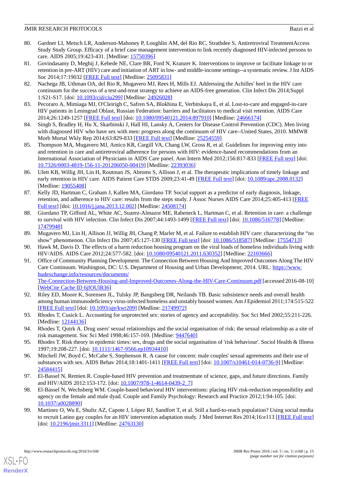- 80. Gardner LI, Metsch LR, Anderson-Mahoney P, Loughlin AM, del Rio RC, Strathdee S, Antiretroviral TreatmentAccess Study Study Group. Efficacy of a brief case management intervention to link recently diagnosed HIV-infected persons to care. AIDS 2005;19:423-431. [Medline: [15750396\]](http://www.ncbi.nlm.nih.gov/entrez/query.fcgi?cmd=Retrieve&db=PubMed&list_uids=15750396&dopt=Abstract)
- <span id="page-14-6"></span>81. Govindasamy D, Meghij J, Kebede NE, Clare BR, Ford N, Kranzer K. Interventions to improve or facilitate linkage to or retention in pre-ART (HIV) care and initiation of ART in low- and middle-income settings--a systematic review. J Int AIDS Soc 2014;17:19032 [\[FREE Full text\]](http://www.jiasociety.org/index.php/jias/article/view/19032) [Medline: [25095831\]](http://www.ncbi.nlm.nih.gov/entrez/query.fcgi?cmd=Retrieve&db=PubMed&list_uids=25095831&dopt=Abstract)
- 82. Nachega JB, Uthman OA, del Rio R, Mugavero MJ, Rees H, Mills EJ. Addressing the Achilles' heel in the HIV care continuum for the success of a test-and-treat strategy to achieve an AIDS-free generation. Clin Infect Dis 2014;Suppl 1:S21-S17. [doi: [10.1093/cid/ciu299\]](http://dx.doi.org/10.1093/cid/ciu299) [Medline: [24926028](http://www.ncbi.nlm.nih.gov/entrez/query.fcgi?cmd=Retrieve&db=PubMed&list_uids=24926028&dopt=Abstract)]
- <span id="page-14-7"></span>83. Pecoraro A, Mimiaga MJ, O'Cleirigh C, Safren SA, Blokhina E, Verbitskaya E, et al. Lost-to-care and engaged-in-care HIV patients in Leningrad Oblast, Russian Federation: barriers and facilitators to medical visit retention. AIDS Care 2014;26:1249-1257 [\[FREE Full text\]](http://europepmc.org/abstract/MED/24666174) [doi: [10.1080/09540121.2014.897910](http://dx.doi.org/10.1080/09540121.2014.897910)] [Medline: [24666174\]](http://www.ncbi.nlm.nih.gov/entrez/query.fcgi?cmd=Retrieve&db=PubMed&list_uids=24666174&dopt=Abstract)
- <span id="page-14-8"></span>84. Singh S, Bradley H, Hu X, Skarbinski J, Hall HI, Lansky A, Centers for Disease Control Prevention (CDC). Men living with diagnosed HIV who have sex with men: progress along the continuum of HIV care--United States, 2010. MMWR Morb Mortal Wkly Rep 2014;63:829-833 [\[FREE Full text](http://www.cdc.gov/mmwr/preview/mmwrhtml/mm6338a2.htm)] [Medline: [25254559](http://www.ncbi.nlm.nih.gov/entrez/query.fcgi?cmd=Retrieve&db=PubMed&list_uids=25254559&dopt=Abstract)]
- <span id="page-14-1"></span>85. Thompson MA, Mugavero MJ, Amico KR, Cargill VA, Chang LW, Gross R, et al. Guidelines for improving entry into and retention in care and antiretroviral adherence for persons with HIV: evidence-based recommendations from an International Association of Physicians in AIDS Care panel. Ann Intern Med 2012;156:817-833 [[FREE Full text](http://europepmc.org/abstract/MED/22393036)] [doi: [10.7326/0003-4819-156-11-201206050-00419](http://dx.doi.org/10.7326/0003-4819-156-11-201206050-00419)] [Medline: [22393036](http://www.ncbi.nlm.nih.gov/entrez/query.fcgi?cmd=Retrieve&db=PubMed&list_uids=22393036&dopt=Abstract)]
- <span id="page-14-0"></span>86. Ulett KB, Willig JH, Lin H, Routman JS, Abroms S, Allison J, et al. The therapeutic implications of timely linkage and early retention in HIV care. AIDS Patient Care STDS 2009;23:41-49 [\[FREE Full text\]](http://europepmc.org/abstract/MED/19055408) [doi: [10.1089/apc.2008.0132](http://dx.doi.org/10.1089/apc.2008.0132)] [Medline: [19055408](http://www.ncbi.nlm.nih.gov/entrez/query.fcgi?cmd=Retrieve&db=PubMed&list_uids=19055408&dopt=Abstract)]
- <span id="page-14-2"></span>87. Kelly JD, Hartman C, Graham J, Kallen MA, Giordano TP. Social support as a predictor of early diagnosis, linkage, retention, and adherence to HIV care: results from the steps study. J Assoc Nurses AIDS Care 2014;25:405-413 [[FREE](http://europepmc.org/abstract/MED/24508174) [Full text\]](http://europepmc.org/abstract/MED/24508174) [doi: [10.1016/j.jana.2013.12.002\]](http://dx.doi.org/10.1016/j.jana.2013.12.002) [Medline: [24508174\]](http://www.ncbi.nlm.nih.gov/entrez/query.fcgi?cmd=Retrieve&db=PubMed&list_uids=24508174&dopt=Abstract)
- <span id="page-14-4"></span><span id="page-14-3"></span>88. Giordano TP, Gifford AL, White AC, Suarez-Almazor ME, Rabeneck L, Hartman C, et al. Retention in care: a challenge to survival with HIV infection. Clin Infect Dis 2007;44:1493-1499 [[FREE Full text](http://www.cid.oxfordjournals.org/cgi/pmidlookup?view=long&pmid=17479948)] [doi: [10.1086/516778\]](http://dx.doi.org/10.1086/516778) [Medline: [17479948](http://www.ncbi.nlm.nih.gov/entrez/query.fcgi?cmd=Retrieve&db=PubMed&list_uids=17479948&dopt=Abstract)]
- 89. Mugavero MJ, Lin H, Allison JJ, Willig JH, Chang P, Marler M, et al. Failure to establish HIV care: characterizing the "no show" phenomenon. Clin Infect Dis 2007;45:127-130 [[FREE Full text](http://www.cid.oxfordjournals.org/cgi/pmidlookup?view=long&pmid=17554713)] [doi: [10.1086/518587\]](http://dx.doi.org/10.1086/518587) [Medline: [17554713](http://www.ncbi.nlm.nih.gov/entrez/query.fcgi?cmd=Retrieve&db=PubMed&list_uids=17554713&dopt=Abstract)]
- 90. Hawk M, Davis D. The effects of a harm reduction housing program on the viral loads of homeless individuals living with HIV/AIDS. AIDS Care 2012;24:577-582. [doi: [10.1080/09540121.2011.630352](http://dx.doi.org/10.1080/09540121.2011.630352)] [Medline: [22103666\]](http://www.ncbi.nlm.nih.gov/entrez/query.fcgi?cmd=Retrieve&db=PubMed&list_uids=22103666&dopt=Abstract)
- <span id="page-14-5"></span>91. Office of Community Planning Development. The Connection Between Housing And Improved Outcomes Along The HIV Care Continuum. Washington, DC: U.S. Department of Housing and Urban Development; 2014. URL: [https://www.](https://www.hudexchange.info/resources/documents/The-Connection-Between-Housing-and-Improved-Outcomes-Along-the-HIV-Care-Continuum.pdf) [hudexchange.info/resources/documents/](https://www.hudexchange.info/resources/documents/The-Connection-Between-Housing-and-Improved-Outcomes-Along-the-HIV-Care-Continuum.pdf) [The-Connection-Between-Housing-and-Improved-Outcomes-Along-the-HIV-Care-Continuum.pdf](https://www.hudexchange.info/resources/documents/The-Connection-Between-Housing-and-Improved-Outcomes-Along-the-HIV-Care-Continuum.pdf) [accessed 2016-08-10] [[WebCite Cache ID 6jfOUlR36\]](http://www.webcitation.org/

                                6jfOUlR36)
- <span id="page-14-10"></span><span id="page-14-9"></span>92. Riley ED, Moore K, Sorensen JL, Tulsky JP, Bangsberg DR, Neilands TB. Basic subsistence needs and overall health among human immunodeficiency virus-infected homeless and unstably housed women. Am J Epidemiol 2011;174:515-522 [[FREE Full text](http://aje.oxfordjournals.org/cgi/pmidlookup?view=long&pmid=21749972)] [doi: [10.1093/aje/kwr209\]](http://dx.doi.org/10.1093/aje/kwr209) [Medline: [21749972\]](http://www.ncbi.nlm.nih.gov/entrez/query.fcgi?cmd=Retrieve&db=PubMed&list_uids=21749972&dopt=Abstract)
- <span id="page-14-12"></span><span id="page-14-11"></span>93. Rhodes T, Cusick L. Accounting for unprotected sex: stories of agency and acceptability. Soc Sci Med 2002;55:211-226. [Medline: [12144136](http://www.ncbi.nlm.nih.gov/entrez/query.fcgi?cmd=Retrieve&db=PubMed&list_uids=12144136&dopt=Abstract)]
- 94. Rhodes T, Quirk A. Drug users' sexual relationships and the social organisation of risk: the sexual relationship as a site of risk management. Soc Sci Med 1998;46:157-169. [Medline: [9447640\]](http://www.ncbi.nlm.nih.gov/entrez/query.fcgi?cmd=Retrieve&db=PubMed&list_uids=9447640&dopt=Abstract)
- <span id="page-14-13"></span>95. Rhodes T. Risk theory in epidemic times: sex, drugs and the social organisation of 'risk behaviour'. Sociol Health & Illness 1997;19:208-227. [doi: [10.1111/1467-9566.ep10934410](http://dx.doi.org/10.1111/1467-9566.ep10934410)]
- <span id="page-14-14"></span>96. Mitchell JW, Boyd C, McCabe S, Stephenson R. A cause for concern: male couples' sexual agreements and their use of substances with sex. AIDS Behav 2014;18:1401-1411 [[FREE Full text](http://europepmc.org/abstract/MED/24584415)] [doi: [10.1007/s10461-014-0736-9](http://dx.doi.org/10.1007/s10461-014-0736-9)] [Medline: [24584415](http://www.ncbi.nlm.nih.gov/entrez/query.fcgi?cmd=Retrieve&db=PubMed&list_uids=24584415&dopt=Abstract)]
- <span id="page-14-15"></span>97. El-Bassel N, Remien R. Couple-based HIV prevention and treatmenttate of science, gaps, and future directions. Family and HIV/AIDS 2012:153-172. [doi: [10.1007/978-1-4614-0439-2\\_7\]](http://dx.doi.org/10.1007/978-1-4614-0439-2_7)
- 98. El-Bassel N, Wechsberg WM. Couple-based behavioral HIV interventions: placing HIV risk-reduction responsibility and agency on the female and male dyad. Couple and Family Psychology: Research and Practice 2012;1:94-105. [doi: [10.1037/a0028890](http://dx.doi.org/10.1037/a0028890)]
- 99. Martinez O, Wu E, Shultz AZ, Capote J, López RJ, Sandfort T, et al. Still a hard-to-reach population? Using social media to recruit Latino gay couples for an HIV intervention adaptation study. J Med Internet Res 2014;16:e113 [\[FREE Full text](http://www.jmir.org/2014/4/e113/)] [doi: [10.2196/jmir.3311\]](http://dx.doi.org/10.2196/jmir.3311) [Medline: [24763130\]](http://www.ncbi.nlm.nih.gov/entrez/query.fcgi?cmd=Retrieve&db=PubMed&list_uids=24763130&dopt=Abstract)